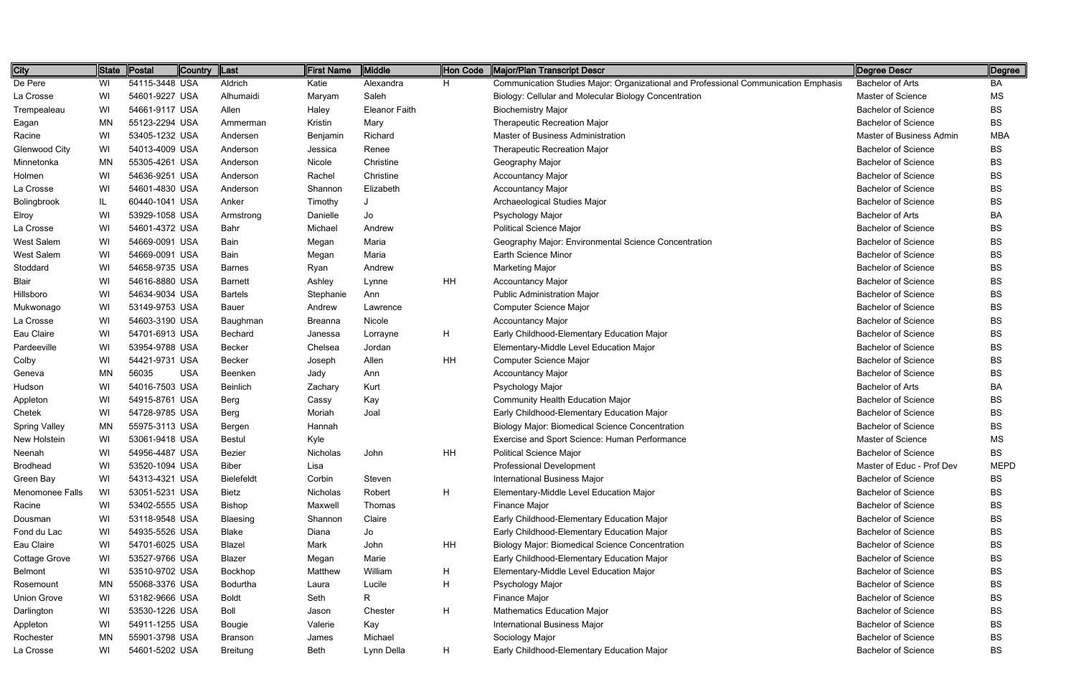| City                 | <b>State</b> | Postal         | Country    | <b>Last</b>       | <b>First Name</b> | Middle               | Hon Code | <b>Major/Plan Transcript Descr</b>                                                  | Degree Descr               | Degree      |
|----------------------|--------------|----------------|------------|-------------------|-------------------|----------------------|----------|-------------------------------------------------------------------------------------|----------------------------|-------------|
| De Pere              | WI           | 54115-3448 USA |            | Aldrich           | Katie             | Alexandra            | H.       | Communication Studies Major: Organizational and Professional Communication Emphasis | <b>Bachelor of Arts</b>    | BA          |
| La Crosse            | WI           | 54601-9227 USA |            | Alhumaidi         | Maryam            | Saleh                |          | Biology: Cellular and Molecular Biology Concentration                               | Master of Science          | MS          |
| Trempealeau          | WI           | 54661-9117 USA |            | Allen             | Haley             | <b>Eleanor Faith</b> |          | <b>Biochemistry Major</b>                                                           | <b>Bachelor of Science</b> | <b>BS</b>   |
| Eagan                | ΜN           | 55123-2294 USA |            | Ammerman          | Kristin           | Mary                 |          | Therapeutic Recreation Major                                                        | <b>Bachelor of Science</b> | <b>BS</b>   |
| Racine               | WI           | 53405-1232 USA |            | Andersen          | Benjamin          | Richard              |          | Master of Business Administration                                                   | Master of Business Admin   | <b>MBA</b>  |
| Glenwood City        | WI           | 54013-4009 USA |            | Anderson          | Jessica           | Renee                |          | <b>Therapeutic Recreation Major</b>                                                 | <b>Bachelor of Science</b> | <b>BS</b>   |
| Minnetonka           | ΜN           | 55305-4261 USA |            | Anderson          | Nicole            | Christine            |          | Geography Major                                                                     | <b>Bachelor of Science</b> | <b>BS</b>   |
| Holmen               | WI           | 54636-9251 USA |            | Anderson          | Rachel            | Christine            |          | <b>Accountancy Major</b>                                                            | <b>Bachelor of Science</b> | <b>BS</b>   |
| La Crosse            | WI           | 54601-4830 USA |            | Anderson          | Shannon           | Elizabeth            |          | <b>Accountancy Major</b>                                                            | <b>Bachelor of Science</b> | <b>BS</b>   |
| Bolingbrook          | IL           | 60440-1041 USA |            | Anker             | Timothy           |                      |          | Archaeological Studies Major                                                        | <b>Bachelor of Science</b> | <b>BS</b>   |
| Elroy                | WI           | 53929-1058 USA |            | Armstrong         | Danielle          | Jo                   |          | Psychology Major                                                                    | <b>Bachelor of Arts</b>    | BA          |
| La Crosse            | WI           | 54601-4372 USA |            | Bahr              | Michael           | Andrew               |          | <b>Political Science Major</b>                                                      | <b>Bachelor of Science</b> | <b>BS</b>   |
| West Salem           | WI           | 54669-0091 USA |            | Bain              | Megan             | Maria                |          | Geography Major: Environmental Science Concentration                                | <b>Bachelor of Science</b> | <b>BS</b>   |
| West Salem           | WI           | 54669-0091 USA |            | Bain              | Megan             | Maria                |          | <b>Earth Science Minor</b>                                                          | <b>Bachelor of Science</b> | <b>BS</b>   |
| Stoddard             | WI           | 54658-9735 USA |            | <b>Barnes</b>     | Ryan              | Andrew               |          | <b>Marketing Major</b>                                                              | <b>Bachelor of Science</b> | <b>BS</b>   |
| <b>Blair</b>         | WI           | 54616-8880 USA |            | <b>Barnett</b>    | Ashley            | Lynne                | HH       | <b>Accountancy Major</b>                                                            | <b>Bachelor of Science</b> | <b>BS</b>   |
| Hillsboro            | WI           | 54634-9034 USA |            | <b>Bartels</b>    | Stephanie         | Ann                  |          | <b>Public Administration Major</b>                                                  | <b>Bachelor of Science</b> | <b>BS</b>   |
| Mukwonago            | WI           | 53149-9753 USA |            | Bauer             | Andrew            | Lawrence             |          | <b>Computer Science Major</b>                                                       | <b>Bachelor of Science</b> | <b>BS</b>   |
| La Crosse            | WI           | 54603-3190 USA |            | Baughman          | <b>Breanna</b>    | Nicole               |          | <b>Accountancy Major</b>                                                            | <b>Bachelor of Science</b> | <b>BS</b>   |
| Eau Claire           | WI           | 54701-6913 USA |            | Bechard           | Janessa           | Lorrayne             | H        | Early Childhood-Elementary Education Major                                          | <b>Bachelor of Science</b> | <b>BS</b>   |
| Pardeeville          | WI           | 53954-9788 USA |            | Becker            | Chelsea           | Jordan               |          | Elementary-Middle Level Education Major                                             | <b>Bachelor of Science</b> | <b>BS</b>   |
| Colby                | WI           | 54421-9731 USA |            | Becker            | Joseph            | Allen                | HH       | <b>Computer Science Major</b>                                                       | <b>Bachelor of Science</b> | <b>BS</b>   |
| Geneva               | MN           | 56035          | <b>USA</b> | Beenken           | Jady              | Ann                  |          | <b>Accountancy Major</b>                                                            | <b>Bachelor of Science</b> | <b>BS</b>   |
| Hudson               | WI           | 54016-7503 USA |            | <b>Beinlich</b>   | Zachary           | Kurt                 |          | Psychology Major                                                                    | <b>Bachelor of Arts</b>    | BA          |
| Appleton             | WI           | 54915-8761 USA |            | Berg              | Cassy             | Kay                  |          | <b>Community Health Education Major</b>                                             | <b>Bachelor of Science</b> | <b>BS</b>   |
| Chetek               | WI           | 54728-9785 USA |            | Berg              | Moriah            | Joal                 |          | Early Childhood-Elementary Education Major                                          | <b>Bachelor of Science</b> | <b>BS</b>   |
| <b>Spring Valley</b> | ΜN           | 55975-3113 USA |            | Bergen            | Hannah            |                      |          | <b>Biology Major: Biomedical Science Concentration</b>                              | <b>Bachelor of Science</b> | <b>BS</b>   |
| New Holstein         | WI           | 53061-9418 USA |            | <b>Bestul</b>     | Kyle              |                      |          | Exercise and Sport Science: Human Performance                                       | Master of Science          | MS          |
| Neenah               | WI           | 54956-4487 USA |            | <b>Bezier</b>     | Nicholas          | John                 | HH       | <b>Political Science Major</b>                                                      | <b>Bachelor of Science</b> | <b>BS</b>   |
| <b>Brodhead</b>      | WI           | 53520-1094 USA |            | <b>Biber</b>      | Lisa              |                      |          | <b>Professional Development</b>                                                     | Master of Educ - Prof Dev  | <b>MEPD</b> |
| Green Bay            | WI           | 54313-4321 USA |            | <b>Bielefeldt</b> | Corbin            | Steven               |          | <b>International Business Major</b>                                                 | <b>Bachelor of Science</b> | BS          |
| Menomonee Falls      | WI           | 53051-5231 USA |            | <b>Bietz</b>      | Nicholas          | Robert               | H        | Elementary-Middle Level Education Major                                             | <b>Bachelor of Science</b> | <b>BS</b>   |
| Racine               | WI           | 53402-5555 USA |            | Bishop            | Maxwell           | Thomas               |          | Finance Major                                                                       | <b>Bachelor of Science</b> | <b>BS</b>   |
| Dousman              | WI           | 53118-9548 USA |            | <b>Blaesing</b>   | Shannon           | Claire               |          | Early Childhood-Elementary Education Major                                          | <b>Bachelor of Science</b> | <b>BS</b>   |
| Fond du Lac          | WI           | 54935-5526 USA |            | Blake             | Diana             | Jo                   |          | Early Childhood-Elementary Education Major                                          | <b>Bachelor of Science</b> | <b>BS</b>   |
| Eau Claire           | WI           | 54701-6025 USA |            | Blazel            | Mark              | John                 | HH       | <b>Biology Major: Biomedical Science Concentration</b>                              | <b>Bachelor of Science</b> | <b>BS</b>   |
| Cottage Grove        | WI           | 53527-9766 USA |            | Blazer            | Megan             | Marie                |          | Early Childhood-Elementary Education Major                                          | <b>Bachelor of Science</b> | <b>BS</b>   |
| Belmont              | WI           | 53510-9702 USA |            | Bockhop           | Matthew           | William              | H        | Elementary-Middle Level Education Major                                             | <b>Bachelor of Science</b> | <b>BS</b>   |
| Rosemount            | ΜN           | 55068-3376 USA |            | Bodurtha          | Laura             | Lucile               | H        | Psychology Major                                                                    | <b>Bachelor of Science</b> | <b>BS</b>   |
| <b>Union Grove</b>   | WI           | 53182-9666 USA |            | <b>Boldt</b>      | Seth              | R                    |          | Finance Major                                                                       | <b>Bachelor of Science</b> | <b>BS</b>   |
| Darlington           | WI           | 53530-1226 USA |            | Boll              | Jason             | Chester              | H        | <b>Mathematics Education Major</b>                                                  | <b>Bachelor of Science</b> | <b>BS</b>   |
| Appleton             | WI           | 54911-1255 USA |            | Bougie            | Valerie           | Kay                  |          | International Business Major                                                        | <b>Bachelor of Science</b> | <b>BS</b>   |
| Rochester            | ΜN           | 55901-3798 USA |            | <b>Branson</b>    | James             | Michael              |          | Sociology Major                                                                     | <b>Bachelor of Science</b> | <b>BS</b>   |
| La Crosse            | WI           | 54601-5202 USA |            | <b>Breitung</b>   | Beth              | Lynn Della           | H        | Early Childhood-Elementary Education Major                                          | <b>Bachelor of Science</b> | <b>BS</b>   |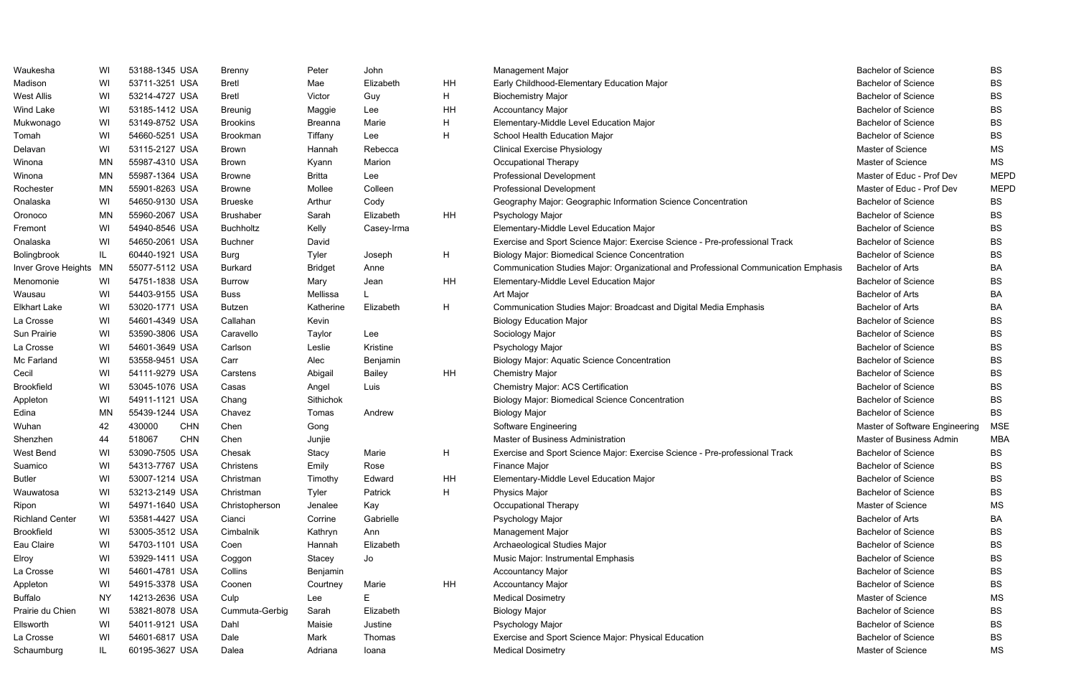| Waukesha               | WI        | 53188-1345 USA       | Brenny           | Peter          | John          |    | Management Major                                                                    | <b>Bachelor of Science</b>     | BS          |
|------------------------|-----------|----------------------|------------------|----------------|---------------|----|-------------------------------------------------------------------------------------|--------------------------------|-------------|
| Madison                | WI        | 53711-3251 USA       | <b>Bretl</b>     | Mae            | Elizabeth     | HH | Early Childhood-Elementary Education Major                                          | <b>Bachelor of Science</b>     | <b>BS</b>   |
| <b>West Allis</b>      | WI        | 53214-4727 USA       | <b>Bretl</b>     | Victor         | Guy           | H  | <b>Biochemistry Major</b>                                                           | <b>Bachelor of Science</b>     | <b>BS</b>   |
| Wind Lake              | WI        | 53185-1412 USA       | Breunig          | Maggie         | Lee           | HH | <b>Accountancy Major</b>                                                            | <b>Bachelor of Science</b>     | <b>BS</b>   |
| Mukwonago              | WI        | 53149-8752 USA       | <b>Brookins</b>  | <b>Breanna</b> | Marie         | н  | Elementary-Middle Level Education Major                                             | <b>Bachelor of Science</b>     | <b>BS</b>   |
| Tomah                  | WI        | 54660-5251 USA       | Brookman         | Tiffany        | Lee           | H  | School Health Education Major                                                       | <b>Bachelor of Science</b>     | <b>BS</b>   |
| Delavan                | WI        | 53115-2127 USA       | <b>Brown</b>     | Hannah         | Rebecca       |    | <b>Clinical Exercise Physiology</b>                                                 | Master of Science              | <b>MS</b>   |
| Winona                 | MN        | 55987-4310 USA       | Brown            | Kyann          | Marion        |    | <b>Occupational Therapy</b>                                                         | Master of Science              | MS          |
| Winona                 | <b>MN</b> | 55987-1364 USA       | <b>Browne</b>    | <b>Britta</b>  | Lee           |    | <b>Professional Development</b>                                                     | Master of Educ - Prof Dev      | <b>MEPD</b> |
| Rochester              | MN        | 55901-8263 USA       | <b>Browne</b>    | Mollee         | Colleen       |    | <b>Professional Development</b>                                                     | Master of Educ - Prof Dev      | <b>MEPD</b> |
| Onalaska               | WI        | 54650-9130 USA       | <b>Brueske</b>   | Arthur         | Cody          |    | Geography Major: Geographic Information Science Concentration                       | <b>Bachelor of Science</b>     | <b>BS</b>   |
| Oronoco                | MN        | 55960-2067 USA       | <b>Brushaber</b> | Sarah          | Elizabeth     | HH | Psychology Major                                                                    | <b>Bachelor of Science</b>     | <b>BS</b>   |
| Fremont                | WI        | 54940-8546 USA       | <b>Buchholtz</b> | Kelly          | Casey-Irma    |    | Elementary-Middle Level Education Major                                             | <b>Bachelor of Science</b>     | <b>BS</b>   |
| Onalaska               | WI        | 54650-2061 USA       | <b>Buchner</b>   | David          |               |    | Exercise and Sport Science Major: Exercise Science - Pre-professional Track         | <b>Bachelor of Science</b>     | <b>BS</b>   |
| Bolingbrook            | IL        | 60440-1921 USA       | Burg             | Tyler          | Joseph        | H  | <b>Biology Major: Biomedical Science Concentration</b>                              | <b>Bachelor of Science</b>     | <b>BS</b>   |
| Inver Grove Heights MN |           | 55077-5112 USA       | <b>Burkard</b>   | <b>Bridget</b> | Anne          |    | Communication Studies Major: Organizational and Professional Communication Emphasis | <b>Bachelor of Arts</b>        | BA          |
| Menomonie              | WI        | 54751-1838 USA       | <b>Burrow</b>    | Mary           | Jean          | HH | Elementary-Middle Level Education Major                                             | <b>Bachelor of Science</b>     | <b>BS</b>   |
| Wausau                 | WI        | 54403-9155 USA       | <b>Buss</b>      | Mellissa       |               |    | Art Major                                                                           | <b>Bachelor of Arts</b>        | <b>BA</b>   |
| <b>Elkhart Lake</b>    | WI        | 53020-1771 USA       | Butzen           | Katherine      | Elizabeth     | H  | Communication Studies Major: Broadcast and Digital Media Emphasis                   | <b>Bachelor of Arts</b>        | BA          |
| La Crosse              | WI        | 54601-4349 USA       | Callahan         | Kevin          |               |    | <b>Biology Education Major</b>                                                      | <b>Bachelor of Science</b>     | <b>BS</b>   |
| Sun Prairie            | WI        | 53590-3806 USA       | Caravello        | Taylor         | Lee           |    | Sociology Major                                                                     | <b>Bachelor of Science</b>     | <b>BS</b>   |
| La Crosse              | WI        | 54601-3649 USA       | Carlson          | Leslie         | Kristine      |    | Psychology Major                                                                    | <b>Bachelor of Science</b>     | <b>BS</b>   |
| Mc Farland             | WI        | 53558-9451 USA       | Carr             | Alec           | Benjamin      |    | <b>Biology Major: Aquatic Science Concentration</b>                                 | <b>Bachelor of Science</b>     | <b>BS</b>   |
| Cecil                  | WI        | 54111-9279 USA       | Carstens         | Abigail        | <b>Bailey</b> | HH | <b>Chemistry Major</b>                                                              | <b>Bachelor of Science</b>     | <b>BS</b>   |
| <b>Brookfield</b>      | WI        | 53045-1076 USA       | Casas            | Angel          | Luis          |    | Chemistry Major: ACS Certification                                                  | <b>Bachelor of Science</b>     | <b>BS</b>   |
| Appleton               | WI        | 54911-1121 USA       | Chang            | Sithichok      |               |    | <b>Biology Major: Biomedical Science Concentration</b>                              | <b>Bachelor of Science</b>     | <b>BS</b>   |
| Edina                  | <b>MN</b> | 55439-1244 USA       | Chavez           | Tomas          | Andrew        |    | <b>Biology Major</b>                                                                | <b>Bachelor of Science</b>     | <b>BS</b>   |
| Wuhan                  | 42        | 430000<br><b>CHN</b> | Chen             | Gong           |               |    | Software Engineering                                                                | Master of Software Engineering | <b>MSE</b>  |
| Shenzhen               | 44        | 518067<br><b>CHN</b> | Chen             | Junjie         |               |    | Master of Business Administration                                                   | Master of Business Admin       | <b>MBA</b>  |
| West Bend              | WI        | 53090-7505 USA       | Chesak           | Stacy          | Marie         | H  | Exercise and Sport Science Major: Exercise Science - Pre-professional Track         | <b>Bachelor of Science</b>     | <b>BS</b>   |
| Suamico                | WI        | 54313-7767 USA       | Christens        | Emily          | Rose          |    | Finance Major                                                                       | <b>Bachelor of Science</b>     | BS          |
| <b>Butler</b>          | WI        | 53007-1214 USA       | Christman        | Timothy        | Edward        | HH | Elementary-Middle Level Education Major                                             | <b>Bachelor of Science</b>     | <b>BS</b>   |
| Wauwatosa              | WI        | 53213-2149 USA       | Christman        | Tyler          | Patrick       | H  | <b>Physics Major</b>                                                                | <b>Bachelor of Science</b>     | <b>BS</b>   |
| Ripon                  | WI        | 54971-1640 USA       | Christopherson   | Jenalee        | Kay           |    | Occupational Therapy                                                                | <b>Master of Science</b>       | MS          |
| <b>Richland Center</b> | WI        | 53581-4427 USA       | Cianci           | Corrine        | Gabrielle     |    | Psychology Major                                                                    | <b>Bachelor of Arts</b>        | BA          |
| <b>Brookfield</b>      | WI        | 53005-3512 USA       | Cimbalnik        | Kathryn        | Ann           |    | Management Major                                                                    | <b>Bachelor of Science</b>     | <b>BS</b>   |
| Eau Claire             | WI        | 54703-1101 USA       | Coen             | Hannah         | Elizabeth     |    | Archaeological Studies Major                                                        | <b>Bachelor of Science</b>     | <b>BS</b>   |
| Elroy                  | WI        | 53929-1411 USA       | Coggon           | Stacey         | Jo            |    | Music Major: Instrumental Emphasis                                                  | <b>Bachelor of Science</b>     | <b>BS</b>   |
| La Crosse              | WI        | 54601-4781 USA       | Collins          | Benjamin       |               |    | <b>Accountancy Major</b>                                                            | <b>Bachelor of Science</b>     | <b>BS</b>   |
| Appleton               | WI        | 54915-3378 USA       | Coonen           | Courtney       | Marie         | HH | <b>Accountancy Major</b>                                                            | <b>Bachelor of Science</b>     | <b>BS</b>   |
| <b>Buffalo</b>         | <b>NY</b> | 14213-2636 USA       | Culp             | Lee            |               |    | <b>Medical Dosimetry</b>                                                            | Master of Science              | MS          |
| Prairie du Chien       | WI        | 53821-8078 USA       | Cummuta-Gerbig   | Sarah          | Elizabeth     |    | <b>Biology Major</b>                                                                | <b>Bachelor of Science</b>     | <b>BS</b>   |
| Ellsworth              | WI        | 54011-9121 USA       | Dahl             | Maisie         | Justine       |    | Psychology Major                                                                    | <b>Bachelor of Science</b>     | <b>BS</b>   |
| La Crosse              | WI        | 54601-6817 USA       | Dale             | Mark           | Thomas        |    | Exercise and Sport Science Major: Physical Education                                | <b>Bachelor of Science</b>     | <b>BS</b>   |
| Schaumburg             | IL        | 60195-3627 USA       | Dalea            | Adriana        | loana         |    | <b>Medical Dosimetry</b>                                                            | Master of Science              | MS          |

|      | <b>Bachelor of Science</b>     | BS          |
|------|--------------------------------|-------------|
|      | <b>Bachelor of Science</b>     | BS          |
|      | <b>Bachelor of Science</b>     | <b>BS</b>   |
|      | <b>Bachelor of Science</b>     | BS          |
|      | <b>Bachelor of Science</b>     | BS          |
|      | <b>Bachelor of Science</b>     | BS          |
|      | <b>Master of Science</b>       | ΜS          |
|      | <b>Master of Science</b>       | MS          |
|      | Master of Educ - Prof Dev      | MEPD        |
|      | Master of Educ - Prof Dev      | <b>MEPD</b> |
|      | <b>Bachelor of Science</b>     | BS          |
|      | <b>Bachelor of Science</b>     | BS          |
|      | <b>Bachelor of Science</b>     | BS          |
|      | <b>Bachelor of Science</b>     | BS          |
|      | <b>Bachelor of Science</b>     | BS          |
| ısis | <b>Bachelor of Arts</b>        | BA          |
|      | Bachelor of Science            | BS          |
|      | <b>Bachelor of Arts</b>        | BA          |
|      | <b>Bachelor of Arts</b>        | ВA          |
|      | <b>Bachelor of Science</b>     | BS          |
|      | <b>Bachelor of Science</b>     | BS          |
|      | <b>Bachelor of Science</b>     | BS          |
|      | <b>Bachelor of Science</b>     | BS          |
|      | <b>Bachelor of Science</b>     | BS          |
|      | <b>Bachelor of Science</b>     | BS          |
|      | <b>Bachelor of Science</b>     | BS          |
|      | <b>Bachelor of Science</b>     | BS          |
|      | Master of Software Engineering | MSE         |
|      | Master of Business Admin       | MBA         |
|      | <b>Bachelor of Science</b>     | BS          |
|      | <b>Bachelor of Science</b>     | BS          |
|      | <b>Bachelor of Science</b>     | BS          |
|      | <b>Bachelor of Science</b>     | BS          |
|      | Master of Science              | MS          |
|      | <b>Bachelor of Arts</b>        | ВA          |
|      | <b>Bachelor of Science</b>     | BS          |
|      | <b>Bachelor of Science</b>     | BS          |
|      | <b>Bachelor of Science</b>     | BS          |
|      | Bachelor of Science            | BS          |
|      | <b>Bachelor of Science</b>     | BS          |
|      | Master of Science              | ΜS          |
|      | <b>Bachelor of Science</b>     | BS          |
|      | <b>Bachelor of Science</b>     | BS          |
|      | <b>Bachelor of Science</b>     | BS          |
|      | <b>Master of Science</b>       | ΜS          |

- 
-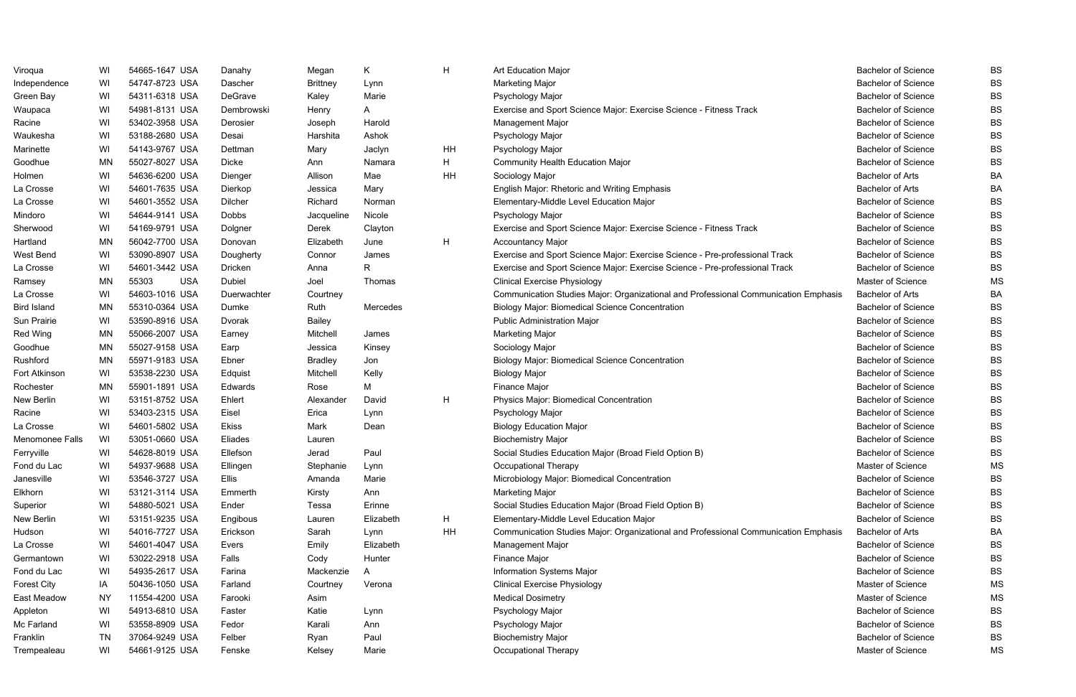| Viroqua            | WI        | 54665-1647 USA      | Danahy       | Megan           | K            | H  | Art Education Major                                                                 | <b>Bachelor of Science</b> | <b>BS</b> |
|--------------------|-----------|---------------------|--------------|-----------------|--------------|----|-------------------------------------------------------------------------------------|----------------------------|-----------|
| Independence       | WI        | 54747-8723 USA      | Dascher      | <b>Brittney</b> | Lynn         |    | <b>Marketing Major</b>                                                              | <b>Bachelor of Science</b> | <b>BS</b> |
| Green Bay          | WI        | 54311-6318 USA      | DeGrave      | Kaley           | Marie        |    | Psychology Major                                                                    | <b>Bachelor of Science</b> | <b>BS</b> |
| Waupaca            | WI        | 54981-8131 USA      | Dembrowski   | Henry           | A            |    | Exercise and Sport Science Major: Exercise Science - Fitness Track                  | <b>Bachelor of Science</b> | <b>BS</b> |
| Racine             | WI        | 53402-3958 USA      | Derosier     | Joseph          | Harold       |    | Management Major                                                                    | <b>Bachelor of Science</b> | <b>BS</b> |
| Waukesha           | WI        | 53188-2680 USA      | Desai        | Harshita        | Ashok        |    | Psychology Major                                                                    | <b>Bachelor of Science</b> | <b>BS</b> |
| Marinette          | WI        | 54143-9767 USA      | Dettman      | Mary            | Jaclyn       | HH | Psychology Major                                                                    | <b>Bachelor of Science</b> | <b>BS</b> |
| Goodhue            | MN        | 55027-8027 USA      | <b>Dicke</b> | Ann             | Namara       | H  | <b>Community Health Education Major</b>                                             | <b>Bachelor of Science</b> | <b>BS</b> |
| Holmen             | WI        | 54636-6200 USA      | Dienger      | Allison         | Mae          | HH | Sociology Major                                                                     | <b>Bachelor of Arts</b>    | <b>BA</b> |
| La Crosse          | WI        | 54601-7635 USA      | Dierkop      | Jessica         | Mary         |    | English Major: Rhetoric and Writing Emphasis                                        | <b>Bachelor of Arts</b>    | <b>BA</b> |
| La Crosse          | WI        | 54601-3552 USA      | Dilcher      | Richard         | Norman       |    | Elementary-Middle Level Education Major                                             | <b>Bachelor of Science</b> | <b>BS</b> |
| Mindoro            | WI        | 54644-9141 USA      | <b>Dobbs</b> | Jacqueline      | Nicole       |    | Psychology Major                                                                    | <b>Bachelor of Science</b> | <b>BS</b> |
| Sherwood           | WI        | 54169-9791 USA      | Dolgner      | Derek           | Clayton      |    | Exercise and Sport Science Major: Exercise Science - Fitness Track                  | <b>Bachelor of Science</b> | <b>BS</b> |
| Hartland           | MN        | 56042-7700 USA      | Donovan      | Elizabeth       | June         | H  | <b>Accountancy Major</b>                                                            | <b>Bachelor of Science</b> | <b>BS</b> |
| <b>West Bend</b>   | WI        | 53090-8907 USA      | Dougherty    | Connor          | James        |    | Exercise and Sport Science Major: Exercise Science - Pre-professional Track         | <b>Bachelor of Science</b> | <b>BS</b> |
| La Crosse          | WI        | 54601-3442 USA      | Dricken      | Anna            | $\mathsf{R}$ |    | Exercise and Sport Science Major: Exercise Science - Pre-professional Track         | <b>Bachelor of Science</b> | <b>BS</b> |
| Ramsey             | MN        | 55303<br><b>USA</b> | Dubiel       | Joel            | Thomas       |    | <b>Clinical Exercise Physiology</b>                                                 | Master of Science          | <b>MS</b> |
| La Crosse          | WI        | 54603-1016 USA      | Duerwachter  | Courtney        |              |    | Communication Studies Major: Organizational and Professional Communication Emphasis | <b>Bachelor of Arts</b>    | <b>BA</b> |
| <b>Bird Island</b> | MN        | 55310-0364 USA      | Dumke        | Ruth            | Mercedes     |    | <b>Biology Major: Biomedical Science Concentration</b>                              | <b>Bachelor of Science</b> | <b>BS</b> |
| Sun Prairie        | WI        | 53590-8916 USA      | Dvorak       | Bailey          |              |    | Public Administration Major                                                         | <b>Bachelor of Science</b> | <b>BS</b> |
| Red Wing           | MN        | 55066-2007 USA      | Earney       | Mitchell        | James        |    | <b>Marketing Major</b>                                                              | <b>Bachelor of Science</b> | <b>BS</b> |
| Goodhue            | ΜN        | 55027-9158 USA      | Earp         | Jessica         | Kinsey       |    | Sociology Major                                                                     | <b>Bachelor of Science</b> | <b>BS</b> |
| Rushford           | ΜN        | 55971-9183 USA      | Ebner        | <b>Bradley</b>  | Jon          |    | <b>Biology Major: Biomedical Science Concentration</b>                              | <b>Bachelor of Science</b> | <b>BS</b> |
| Fort Atkinson      | WI        | 53538-2230 USA      | Edquist      | Mitchell        | Kelly        |    | <b>Biology Major</b>                                                                | <b>Bachelor of Science</b> | <b>BS</b> |
| Rochester          | ΜN        | 55901-1891 USA      | Edwards      | Rose            | Μ            |    | Finance Major                                                                       | <b>Bachelor of Science</b> | <b>BS</b> |
| New Berlin         | WI        | 53151-8752 USA      | Ehlert       | Alexander       | David        | H  | Physics Major: Biomedical Concentration                                             | <b>Bachelor of Science</b> | <b>BS</b> |
| Racine             | WI        | 53403-2315 USA      | Eisel        | Erica           | Lynn         |    | Psychology Major                                                                    | <b>Bachelor of Science</b> | <b>BS</b> |
| La Crosse          | WI        | 54601-5802 USA      | Ekiss        | Mark            | Dean         |    | <b>Biology Education Major</b>                                                      | <b>Bachelor of Science</b> | <b>BS</b> |
| Menomonee Falls    | WI        | 53051-0660 USA      | Eliades      | Lauren          |              |    | <b>Biochemistry Major</b>                                                           | <b>Bachelor of Science</b> | <b>BS</b> |
| Ferryville         | WI        | 54628-8019 USA      | Ellefson     | Jerad           | Paul         |    | Social Studies Education Major (Broad Field Option B)                               | <b>Bachelor of Science</b> | <b>BS</b> |
| Fond du Lac        | WI        | 54937-9688 USA      | Ellingen     | Stephanie       | Lynn         |    | <b>Occupational Therapy</b>                                                         | Master of Science          | MS        |
| Janesville         | WI        | 53546-3727 USA      | <b>Ellis</b> | Amanda          | Marie        |    | Microbiology Major: Biomedical Concentration                                        | <b>Bachelor of Science</b> | <b>BS</b> |
| Elkhorn            | WI        | 53121-3114 USA      | Emmerth      | Kirsty          | Ann          |    | Marketing Major                                                                     | <b>Bachelor of Science</b> | <b>BS</b> |
| Superior           | WI        | 54880-5021 USA      | Ender        | Tessa           | Erinne       |    | Social Studies Education Major (Broad Field Option B)                               | <b>Bachelor of Science</b> | <b>BS</b> |
| New Berlin         | WI        | 53151-9235 USA      | Engibous     | Lauren          | Elizabeth    | H  | Elementary-Middle Level Education Major                                             | <b>Bachelor of Science</b> | <b>BS</b> |
| Hudson             | WI        | 54016-7727 USA      | Erickson     | Sarah           | Lynn         | HH | Communication Studies Major: Organizational and Professional Communication Emphasis | Bachelor of Arts           | BA        |
| La Crosse          | WI        | 54601-4047 USA      | Evers        | Emily           | Elizabeth    |    | Management Major                                                                    | <b>Bachelor of Science</b> | <b>BS</b> |
| Germantown         | WI        | 53022-2918 USA      | Falls        | Cody            | Hunter       |    | Finance Major                                                                       | <b>Bachelor of Science</b> | <b>BS</b> |
| Fond du Lac        | WI        | 54935-2617 USA      | Farina       | Mackenzie       |              |    | Information Systems Major                                                           | <b>Bachelor of Science</b> | <b>BS</b> |
| Forest City        | IA        | 50436-1050 USA      | Farland      | Courtney        | Verona       |    | <b>Clinical Exercise Physiology</b>                                                 | Master of Science          | <b>MS</b> |
| East Meadow        | <b>NY</b> | 11554-4200 USA      | Farooki      | Asim            |              |    | <b>Medical Dosimetry</b>                                                            | Master of Science          | <b>MS</b> |
| Appleton           | WI        | 54913-6810 USA      | Faster       | Katie           | Lynn         |    | Psychology Major                                                                    | <b>Bachelor of Science</b> | <b>BS</b> |
| Mc Farland         | WI        | 53558-8909 USA      | Fedor        | Karali          | Ann          |    | Psychology Major                                                                    | <b>Bachelor of Science</b> | <b>BS</b> |
| Franklin           | <b>TN</b> | 37064-9249 USA      | Felber       | Ryan            | Paul         |    | <b>Biochemistry Major</b>                                                           | <b>Bachelor of Science</b> | <b>BS</b> |
| Trempealeau        | WI        | 54661-9125 USA      | Fenske       | Kelsey          | Marie        |    | <b>Occupational Therapy</b>                                                         | Master of Science          | <b>MS</b> |

|       | <b>Bachelor of Science</b> | BS        |
|-------|----------------------------|-----------|
|       | Bachelor of Science        | BS        |
|       | <b>Bachelor of Science</b> | BS        |
|       | <b>Bachelor of Science</b> | BS        |
|       | <b>Bachelor of Science</b> | BS        |
|       | <b>Bachelor of Science</b> | BS        |
|       | <b>Bachelor of Science</b> | BS        |
|       | <b>Bachelor of Science</b> | BS        |
|       | Bachelor of Arts           | <b>BA</b> |
|       | <b>Bachelor of Arts</b>    | BA        |
|       | <b>Bachelor of Science</b> | BS        |
|       | <b>Bachelor of Science</b> | BS        |
|       | <b>Bachelor of Science</b> | BS        |
|       | <b>Bachelor of Science</b> | BS        |
|       | <b>Bachelor of Science</b> | BS        |
|       | <b>Bachelor of Science</b> | BS        |
|       | Master of Science          | ΜS        |
| าasis | <b>Bachelor of Arts</b>    | BA        |
|       | <b>Bachelor of Science</b> | <b>BS</b> |
|       | <b>Bachelor of Science</b> | BS        |
|       | <b>Bachelor of Science</b> | BS        |
|       | <b>Bachelor of Science</b> | BS        |
|       | <b>Bachelor of Science</b> | BS        |
|       | <b>Bachelor of Science</b> | BS        |
|       | <b>Bachelor of Science</b> | BS        |
|       | <b>Bachelor of Science</b> | BS        |
|       | <b>Bachelor of Science</b> | BS        |
|       | <b>Bachelor of Science</b> | BS        |
|       | <b>Bachelor of Science</b> | BS        |
|       | <b>Bachelor of Science</b> | BS        |
|       | <b>Master of Science</b>   | ΜS        |
|       | <b>Bachelor of Science</b> | <b>BS</b> |
|       | <b>Bachelor of Science</b> | BS        |
|       | <b>Bachelor of Science</b> | BS        |
|       | <b>Bachelor of Science</b> | BS        |
| าasis | <b>Bachelor of Arts</b>    | ВA        |
|       | <b>Bachelor of Science</b> | BS        |
|       | Bachelor of Science        | BS        |
|       | <b>Bachelor of Science</b> | BS        |
|       | Master of Science          | ΜS        |
|       | <b>Master of Science</b>   | ΜS        |
|       | <b>Bachelor of Science</b> | BS        |
|       | <b>Bachelor of Science</b> | BS        |
|       | <b>Bachelor of Science</b> | BS        |
|       | Master of Science          | ΜS        |

- 
-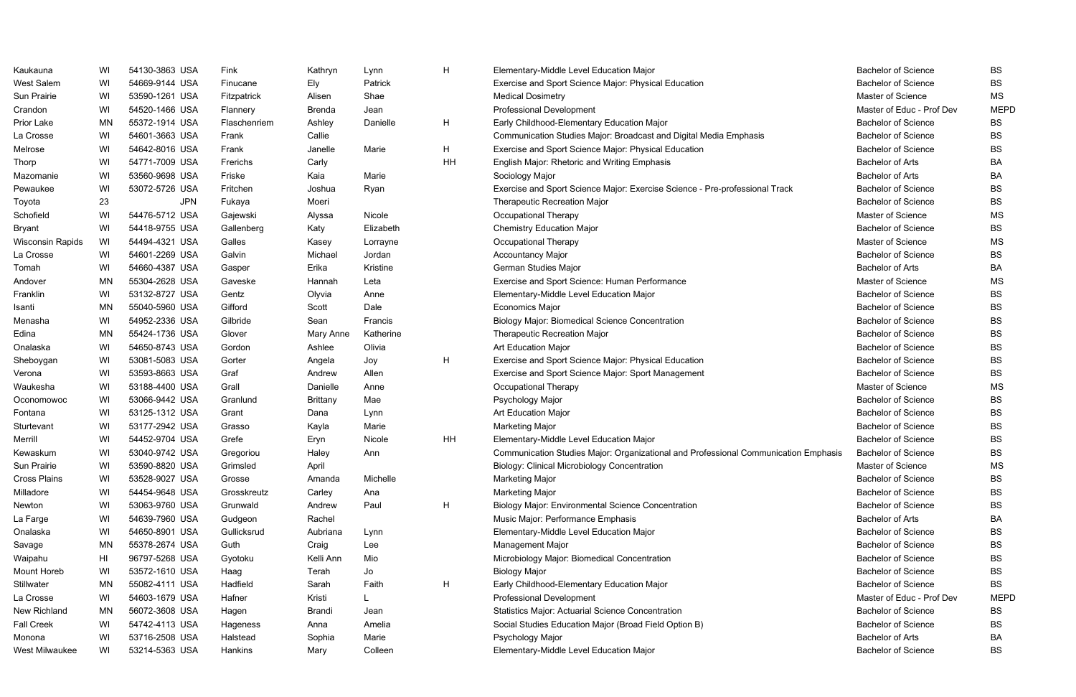| Kaukauna                | WI        | 54130-3863 USA | Fink         | Kathryn         | Lynn      | H  | Elementary-Middle Level Education Major                                             | <b>Bachelor of Science</b> | BS          |
|-------------------------|-----------|----------------|--------------|-----------------|-----------|----|-------------------------------------------------------------------------------------|----------------------------|-------------|
| West Salem              | WI        | 54669-9144 USA | Finucane     | Ely             | Patrick   |    | Exercise and Sport Science Major: Physical Education                                | <b>Bachelor of Science</b> | <b>BS</b>   |
| Sun Prairie             | WI        | 53590-1261 USA | Fitzpatrick  | Alisen          | Shae      |    | <b>Medical Dosimetry</b>                                                            | Master of Science          | <b>MS</b>   |
| Crandon                 | WI        | 54520-1466 USA | Flannery     | <b>Brenda</b>   | Jean      |    | Professional Development                                                            | Master of Educ - Prof Dev  | <b>MEPD</b> |
| Prior Lake              | <b>MN</b> | 55372-1914 USA | Flaschenriem | Ashley          | Danielle  | H  | Early Childhood-Elementary Education Major                                          | <b>Bachelor of Science</b> | BS          |
| La Crosse               | WI        | 54601-3663 USA | Frank        | Callie          |           |    | Communication Studies Major: Broadcast and Digital Media Emphasis                   | <b>Bachelor of Science</b> | <b>BS</b>   |
| Melrose                 | WI        | 54642-8016 USA | Frank        | Janelle         | Marie     | H  | Exercise and Sport Science Major: Physical Education                                | <b>Bachelor of Science</b> | <b>BS</b>   |
| Thorp                   | WI        | 54771-7009 USA | Frerichs     | Carly           |           | HH | <b>English Major: Rhetoric and Writing Emphasis</b>                                 | <b>Bachelor of Arts</b>    | BA          |
| Mazomanie               | WI        | 53560-9698 USA | Friske       | Kaia            | Marie     |    | Sociology Major                                                                     | <b>Bachelor of Arts</b>    | BA          |
| Pewaukee                | WI        | 53072-5726 USA | Fritchen     | Joshua          | Ryan      |    | Exercise and Sport Science Major: Exercise Science - Pre-professional Track         | <b>Bachelor of Science</b> | <b>BS</b>   |
| Toyota                  | 23        | <b>JPN</b>     | Fukaya       | Moeri           |           |    | <b>Therapeutic Recreation Major</b>                                                 | <b>Bachelor of Science</b> | <b>BS</b>   |
| Schofield               | WI        | 54476-5712 USA | Gajewski     | Alyssa          | Nicole    |    | Occupational Therapy                                                                | Master of Science          | MS          |
| <b>Bryant</b>           | WI        | 54418-9755 USA | Gallenberg   | Katy            | Elizabeth |    | <b>Chemistry Education Major</b>                                                    | <b>Bachelor of Science</b> | <b>BS</b>   |
| <b>Wisconsin Rapids</b> | WI        | 54494-4321 USA | Galles       | Kasey           | Lorrayne  |    | Occupational Therapy                                                                | Master of Science          | <b>MS</b>   |
| La Crosse               | WI        | 54601-2269 USA | Galvin       | Michael         | Jordan    |    | <b>Accountancy Major</b>                                                            | <b>Bachelor of Science</b> | <b>BS</b>   |
| Tomah                   | WI        | 54660-4387 USA | Gasper       | Erika           | Kristine  |    | German Studies Major                                                                | <b>Bachelor of Arts</b>    | BA          |
| Andover                 | MN        | 55304-2628 USA | Gaveske      | Hannah          | Leta      |    | Exercise and Sport Science: Human Performance                                       | Master of Science          | MS          |
| Franklin                | WI        | 53132-8727 USA | Gentz        | Olyvia          | Anne      |    | Elementary-Middle Level Education Major                                             | <b>Bachelor of Science</b> | <b>BS</b>   |
| Isanti                  | <b>MN</b> | 55040-5960 USA | Gifford      | Scott           | Dale      |    | <b>Economics Major</b>                                                              | <b>Bachelor of Science</b> | <b>BS</b>   |
| Menasha                 | WI        | 54952-2336 USA | Gilbride     | Sean            | Francis   |    | <b>Biology Major: Biomedical Science Concentration</b>                              | <b>Bachelor of Science</b> | <b>BS</b>   |
| Edina                   | <b>MN</b> | 55424-1736 USA | Glover       | Mary Anne       | Katherine |    | Therapeutic Recreation Major                                                        | <b>Bachelor of Science</b> | <b>BS</b>   |
| Onalaska                | WI        | 54650-8743 USA | Gordon       | Ashlee          | Olivia    |    | Art Education Major                                                                 | <b>Bachelor of Science</b> | <b>BS</b>   |
| Sheboygan               | WI        | 53081-5083 USA | Gorter       | Angela          | Joy       | H  | Exercise and Sport Science Major: Physical Education                                | <b>Bachelor of Science</b> | <b>BS</b>   |
| Verona                  | WI        | 53593-8663 USA | Graf         | Andrew          | Allen     |    | Exercise and Sport Science Major: Sport Management                                  | <b>Bachelor of Science</b> | <b>BS</b>   |
| Waukesha                | WI        | 53188-4400 USA | Grall        | Danielle        | Anne      |    | Occupational Therapy                                                                | Master of Science          | <b>MS</b>   |
| Oconomowoc              | WI        | 53066-9442 USA | Granlund     | <b>Brittany</b> | Mae       |    | Psychology Major                                                                    | <b>Bachelor of Science</b> | <b>BS</b>   |
| Fontana                 | WI        | 53125-1312 USA | Grant        | Dana            | Lynn      |    | Art Education Major                                                                 | <b>Bachelor of Science</b> | <b>BS</b>   |
| Sturtevant              | WI        | 53177-2942 USA | Grasso       | Kayla           | Marie     |    | <b>Marketing Major</b>                                                              | <b>Bachelor of Science</b> | <b>BS</b>   |
| Merrill                 | WI        | 54452-9704 USA | Grefe        | Eryn            | Nicole    | HH | Elementary-Middle Level Education Major                                             | <b>Bachelor of Science</b> | <b>BS</b>   |
| Kewaskum                | WI        | 53040-9742 USA | Gregoriou    | Haley           | Ann       |    | Communication Studies Major: Organizational and Professional Communication Emphasis | <b>Bachelor of Science</b> | <b>BS</b>   |
| Sun Prairie             | WI        | 53590-8820 USA | Grimsled     | April           |           |    | Biology: Clinical Microbiology Concentration                                        | Master of Science          | МS          |
| Cross Plains            | WI        | 53528-9027 USA | Grosse       | Amanda          | Michelle  |    | <b>Marketing Major</b>                                                              | <b>Bachelor of Science</b> | <b>BS</b>   |
| Milladore               | WI        | 54454-9648 USA | Grosskreutz  | Carley          | Ana       |    | <b>Marketing Major</b>                                                              | <b>Bachelor of Science</b> | <b>BS</b>   |
| Newton                  | WI        | 53063-9760 USA | Grunwald     | Andrew          | Paul      | H  | <b>Biology Major: Environmental Science Concentration</b>                           | <b>Bachelor of Science</b> | <b>BS</b>   |
| La Farge                | WI        | 54639-7960 USA | Gudgeon      | Rachel          |           |    | Music Major: Performance Emphasis                                                   | <b>Bachelor of Arts</b>    | BA          |
| Onalaska                | WI        | 54650-8901 USA | Gullicksrud  | Aubriana        | Lynn      |    | Elementary-Middle Level Education Major                                             | <b>Bachelor of Science</b> | <b>BS</b>   |
| Savage                  | MN        | 55378-2674 USA | Guth         | Craig           | Lee       |    | Management Major                                                                    | <b>Bachelor of Science</b> | <b>BS</b>   |
| Waipahu                 | HI        | 96797-5268 USA | Gyotoku      | Kelli Ann       | Mio       |    | Microbiology Major: Biomedical Concentration                                        | <b>Bachelor of Science</b> | <b>BS</b>   |
| Mount Horeb             | WI        | 53572-1610 USA | Haag         | Terah           | Jo        |    | <b>Biology Major</b>                                                                | <b>Bachelor of Science</b> | <b>BS</b>   |
| Stillwater              | MN        | 55082-4111 USA | Hadfield     | Sarah           | Faith     | H  | Early Childhood-Elementary Education Major                                          | <b>Bachelor of Science</b> | <b>BS</b>   |
| La Crosse               | WI        | 54603-1679 USA | Hafner       | Kristi          |           |    | <b>Professional Development</b>                                                     | Master of Educ - Prof Dev  | <b>MEPD</b> |
| New Richland            | ΜN        | 56072-3608 USA | Hagen        | <b>Brandi</b>   | Jean      |    | <b>Statistics Major: Actuarial Science Concentration</b>                            | <b>Bachelor of Science</b> | <b>BS</b>   |
| <b>Fall Creek</b>       | WI        | 54742-4113 USA | Hageness     | Anna            | Amelia    |    | Social Studies Education Major (Broad Field Option B)                               | <b>Bachelor of Science</b> | <b>BS</b>   |
| Monona                  | WI        | 53716-2508 USA | Halstead     | Sophia          | Marie     |    | Psychology Major                                                                    | <b>Bachelor of Arts</b>    | BA          |
| West Milwaukee          | WI        | 53214-5363 USA | Hankins      | Mary            | Colleen   |    | Elementary-Middle Level Education Major                                             | <b>Bachelor of Science</b> | <b>BS</b>   |

|          | <b>Bachelor of Science</b> | BS          |
|----------|----------------------------|-------------|
|          | <b>Bachelor of Science</b> | BS          |
|          | Master of Science          | ΜS          |
|          | Master of Educ - Prof Dev  | <b>MEPD</b> |
|          | <b>Bachelor of Science</b> | BS          |
|          | <b>Bachelor of Science</b> | BS          |
|          | <b>Bachelor of Science</b> | BS          |
|          | <b>Bachelor of Arts</b>    | BA          |
|          | Bachelor of Arts           | BA          |
|          | <b>Bachelor of Science</b> | BS          |
|          | <b>Bachelor of Science</b> | BS          |
|          | <b>Master of Science</b>   | ΜS          |
|          | Bachelor of Science        | BS          |
|          | <b>Master of Science</b>   | MS          |
|          | <b>Bachelor of Science</b> | BS          |
|          | <b>Bachelor of Arts</b>    | BA          |
|          | Master of Science          | ΜS          |
|          | <b>Bachelor of Science</b> | BS          |
|          | <b>Bachelor of Science</b> | <b>BS</b>   |
|          | <b>Bachelor of Science</b> | BS          |
|          | <b>Bachelor of Science</b> | BS          |
|          | <b>Bachelor of Science</b> | BS          |
|          | <b>Bachelor of Science</b> | BS          |
|          | <b>Bachelor of Science</b> | BS          |
|          | Master of Science          | ΜS          |
|          | <b>Bachelor of Science</b> | BS          |
|          | <b>Bachelor of Science</b> | BS          |
|          | <b>Bachelor of Science</b> | BS          |
|          | <b>Bachelor of Science</b> | BS          |
| mphasis: | <b>Bachelor of Science</b> | BS          |
|          | <b>Master of Science</b>   | ΜS          |
|          | <b>Bachelor of Science</b> | BS          |
|          | <b>Bachelor of Science</b> | BS          |
|          | Bachelor of Science        | <b>BS</b>   |
|          | <b>Bachelor of Arts</b>    | ВA          |
|          | <b>Bachelor of Science</b> | BS          |
|          | Bachelor of Science        | BS          |
|          | <b>Bachelor of Science</b> | BS          |
|          | Bachelor of Science        | BS          |
|          | <b>Bachelor of Science</b> | BS          |
|          | Master of Educ - Prof Dev  | MEPD        |
|          | <b>Bachelor of Science</b> | BS          |
|          | <b>Bachelor of Science</b> | BS          |
|          | <b>Bachelor of Arts</b>    | BA          |
|          | <b>Bachelor of Science</b> | BS          |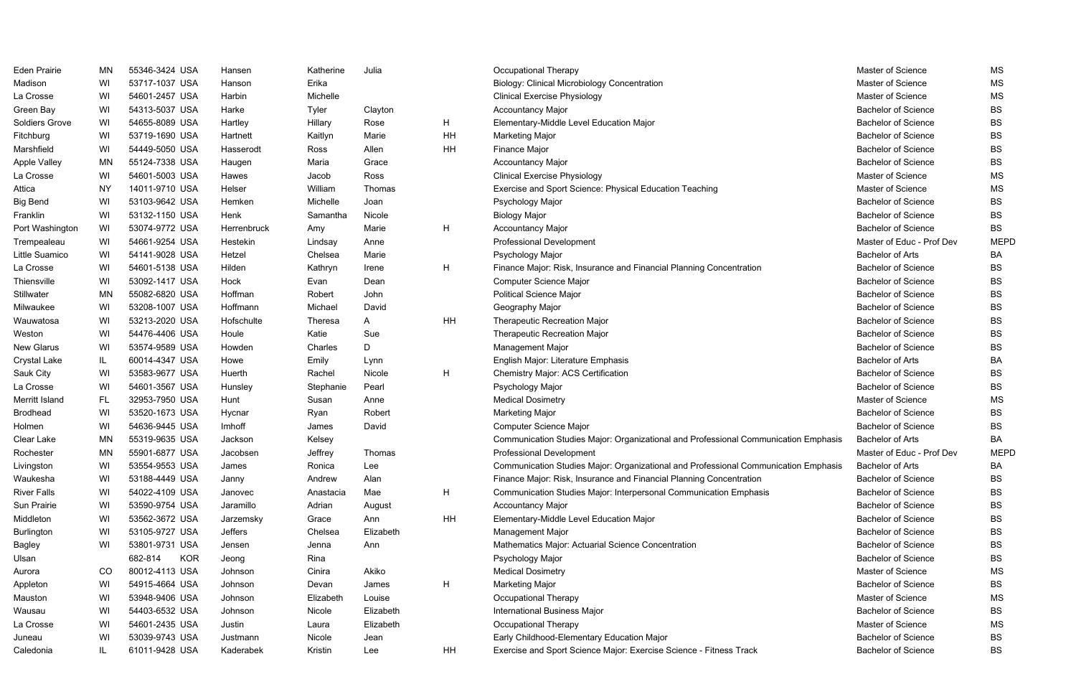| Eden Prairie        | MN        | 55346-3424 USA        | Hansen      | Katherine | Julia     |    | Occupational Therapy                                                                | Master of Science          | МS          |
|---------------------|-----------|-----------------------|-------------|-----------|-----------|----|-------------------------------------------------------------------------------------|----------------------------|-------------|
| Madison             | WI        | 53717-1037 USA        | Hanson      | Erika     |           |    | <b>Biology: Clinical Microbiology Concentration</b>                                 | Master of Science          | MS          |
| La Crosse           | WI        | 54601-2457 USA        | Harbin      | Michelle  |           |    | <b>Clinical Exercise Physiology</b>                                                 | Master of Science          | MS          |
| Green Bay           | WI        | 54313-5037 USA        | Harke       | Tyler     | Clayton   |    | <b>Accountancy Major</b>                                                            | <b>Bachelor of Science</b> | <b>BS</b>   |
| Soldiers Grove      | WI        | 54655-8089 USA        | Hartley     | Hillary   | Rose      | H  | Elementary-Middle Level Education Major                                             | <b>Bachelor of Science</b> | <b>BS</b>   |
| Fitchburg           | WI        | 53719-1690 USA        | Hartnett    | Kaitlyn   | Marie     | HH | <b>Marketing Major</b>                                                              | <b>Bachelor of Science</b> | <b>BS</b>   |
| Marshfield          | WI        | 54449-5050 USA        | Hasserodt   | Ross      | Allen     | HH | <b>Finance Major</b>                                                                | <b>Bachelor of Science</b> | <b>BS</b>   |
| <b>Apple Valley</b> | MN        | 55124-7338 USA        | Haugen      | Maria     | Grace     |    | <b>Accountancy Major</b>                                                            | <b>Bachelor of Science</b> | <b>BS</b>   |
| La Crosse           | WI        | 54601-5003 USA        | Hawes       | Jacob     | Ross      |    | <b>Clinical Exercise Physiology</b>                                                 | Master of Science          | MS          |
| Attica              | <b>NY</b> | 14011-9710 USA        | Helser      | William   | Thomas    |    | Exercise and Sport Science: Physical Education Teaching                             | Master of Science          | MS          |
| <b>Big Bend</b>     | WI        | 53103-9642 USA        | Hemken      | Michelle  | Joan      |    | Psychology Major                                                                    | <b>Bachelor of Science</b> | <b>BS</b>   |
| Franklin            | WI        | 53132-1150 USA        | Henk        | Samantha  | Nicole    |    | <b>Biology Major</b>                                                                | <b>Bachelor of Science</b> | <b>BS</b>   |
| Port Washington     | WI        | 53074-9772 USA        | Herrenbruck | Amy       | Marie     | H  | <b>Accountancy Major</b>                                                            | <b>Bachelor of Science</b> | <b>BS</b>   |
| Trempealeau         | WI        | 54661-9254 USA        | Hestekin    | Lindsay   | Anne      |    | Professional Development                                                            | Master of Educ - Prof Dev  | <b>MEPD</b> |
| Little Suamico      | WI        | 54141-9028 USA        | Hetzel      | Chelsea   | Marie     |    | Psychology Major                                                                    | <b>Bachelor of Arts</b>    | BA          |
| La Crosse           | WI        | 54601-5138 USA        | Hilden      | Kathryn   | Irene     | H  | Finance Major: Risk, Insurance and Financial Planning Concentration                 | <b>Bachelor of Science</b> | BS          |
| Thiensville         | WI        | 53092-1417 USA        | Hock        | Evan      | Dean      |    | Computer Science Major                                                              | <b>Bachelor of Science</b> | <b>BS</b>   |
| Stillwater          | MN        | 55082-6820 USA        | Hoffman     | Robert    | John      |    | Political Science Major                                                             | <b>Bachelor of Science</b> | <b>BS</b>   |
| Milwaukee           | WI        | 53208-1007 USA        | Hoffmann    | Michael   | David     |    | Geography Major                                                                     | <b>Bachelor of Science</b> | <b>BS</b>   |
| Wauwatosa           | WI        | 53213-2020 USA        | Hofschulte  | Theresa   | A         | HH | Therapeutic Recreation Major                                                        | <b>Bachelor of Science</b> | <b>BS</b>   |
| Weston              | WI        | 54476-4406 USA        | Houle       | Katie     | Sue       |    | Therapeutic Recreation Major                                                        | <b>Bachelor of Science</b> | <b>BS</b>   |
| New Glarus          | WI        | 53574-9589 USA        | Howden      | Charles   | D         |    | Management Major                                                                    | <b>Bachelor of Science</b> | <b>BS</b>   |
| <b>Crystal Lake</b> | IL        | 60014-4347 USA        | Howe        | Emily     | Lynn      |    | English Major: Literature Emphasis                                                  | <b>Bachelor of Arts</b>    | BA          |
| Sauk City           | WI        | 53583-9677 USA        | Huerth      | Rachel    | Nicole    | H  | Chemistry Major: ACS Certification                                                  | <b>Bachelor of Science</b> | <b>BS</b>   |
| La Crosse           | WI        | 54601-3567 USA        | Hunsley     | Stephanie | Pearl     |    | Psychology Major                                                                    | <b>Bachelor of Science</b> | <b>BS</b>   |
| Merritt Island      | FL        | 32953-7950 USA        | Hunt        | Susan     | Anne      |    | <b>Medical Dosimetry</b>                                                            | Master of Science          | MS          |
| <b>Brodhead</b>     | WI        | 53520-1673 USA        | Hycnar      | Ryan      | Robert    |    | <b>Marketing Major</b>                                                              | <b>Bachelor of Science</b> | <b>BS</b>   |
| Holmen              | WI        | 54636-9445 USA        | Imhoff      | James     | David     |    | Computer Science Major                                                              | <b>Bachelor of Science</b> | <b>BS</b>   |
| Clear Lake          | MN        | 55319-9635 USA        | Jackson     | Kelsey    |           |    | Communication Studies Major: Organizational and Professional Communication Emphasis | <b>Bachelor of Arts</b>    | BA          |
| Rochester           | ΜN        | 55901-6877 USA        | Jacobsen    | Jeffrey   | Thomas    |    | Professional Development                                                            | Master of Educ - Prof Dev  | <b>MEPD</b> |
| Livingston          | WI        | 53554-9553 USA        | James       | Ronica    | Lee       |    | Communication Studies Major: Organizational and Professional Communication Emphasis | <b>Bachelor of Arts</b>    | BA          |
| Waukesha            | WI        | 53188-4449 USA        | Janny       | Andrew    | Alan      |    | Finance Major: Risk, Insurance and Financial Planning Concentration                 | <b>Bachelor of Science</b> | <b>BS</b>   |
| <b>River Falls</b>  | WI        | 54022-4109 USA        | Janovec     | Anastacia | Mae       | H  | Communication Studies Major: Interpersonal Communication Emphasis                   | <b>Bachelor of Science</b> | <b>BS</b>   |
| Sun Prairie         | WI        | 53590-9754 USA        | Jaramillo   | Adrian    | August    |    | <b>Accountancy Major</b>                                                            | <b>Bachelor of Science</b> | <b>BS</b>   |
| Middleton           | WI        | 53562-3672 USA        | Jarzemsky   | Grace     | Ann       | HH | Elementary-Middle Level Education Major                                             | <b>Bachelor of Science</b> | <b>BS</b>   |
| Burlington          | WI        | 53105-9727 USA        | Jeffers     | Chelsea   | Elizabeth |    | Management Major                                                                    | <b>Bachelor of Science</b> | <b>BS</b>   |
| <b>Bagley</b>       | WI        | 53801-9731 USA        | Jensen      | Jenna     | Ann       |    | Mathematics Major: Actuarial Science Concentration                                  | <b>Bachelor of Science</b> | <b>BS</b>   |
| Ulsan               |           | <b>KOR</b><br>682-814 | Jeong       | Rina      |           |    | Psychology Major                                                                    | <b>Bachelor of Science</b> | <b>BS</b>   |
| Aurora              | CO        | 80012-4113 USA        | Johnson     | Cinira    | Akiko     |    | <b>Medical Dosimetry</b>                                                            | Master of Science          | MS          |
| Appleton            | WI        | 54915-4664 USA        | Johnson     | Devan     | James     | H  | <b>Marketing Major</b>                                                              | <b>Bachelor of Science</b> | <b>BS</b>   |
| Mauston             | WI        | 53948-9406 USA        | Johnson     | Elizabeth | Louise    |    | Occupational Therapy                                                                | Master of Science          | MS          |
| Wausau              | WI        | 54403-6532 USA        | Johnson     | Nicole    | Elizabeth |    | International Business Major                                                        | <b>Bachelor of Science</b> | <b>BS</b>   |
| La Crosse           | WI        | 54601-2435 USA        | Justin      | Laura     | Elizabeth |    | Occupational Therapy                                                                | Master of Science          | MS          |
| Juneau              | WI        | 53039-9743 USA        | Justmann    | Nicole    | Jean      |    | Early Childhood-Elementary Education Major                                          | <b>Bachelor of Science</b> | <b>BS</b>   |
| Caledonia           | IL        | 61011-9428 USA        | Kaderabek   | Kristin   | Lee       | HH | Exercise and Sport Science Major: Exercise Science - Fitness Track                  | <b>Bachelor of Science</b> | <b>BS</b>   |

|          | <b>Master of Science</b>   | ΜS        |
|----------|----------------------------|-----------|
|          | Master of Science          | ΜS        |
|          | Master of Science          | ΜS        |
|          | <b>Bachelor of Science</b> | BS        |
|          | <b>Bachelor of Science</b> | <b>BS</b> |
|          | <b>Bachelor of Science</b> | BS        |
|          | <b>Bachelor of Science</b> | BS        |
|          | <b>Bachelor of Science</b> | BS        |
|          | <b>Master of Science</b>   | MS        |
|          | Master of Science          | ΜS        |
|          | <b>Bachelor of Science</b> | BS        |
|          | <b>Bachelor of Science</b> | BS        |
|          | <b>Bachelor of Science</b> | BS        |
|          | Master of Educ - Prof Dev  | MEPD      |
|          | <b>Bachelor of Arts</b>    | BA        |
|          | <b>Bachelor of Science</b> | BS        |
|          | <b>Bachelor of Science</b> | BS        |
|          | <b>Bachelor of Science</b> | BS        |
|          | <b>Bachelor of Science</b> | BS        |
|          | <b>Bachelor of Science</b> | BS        |
|          | <b>Bachelor of Science</b> | BS        |
|          | <b>Bachelor of Science</b> | BS        |
|          | <b>Bachelor of Arts</b>    | BA        |
|          | <b>Bachelor of Science</b> | BS        |
|          | <b>Bachelor of Science</b> | BS        |
|          | <b>Master of Science</b>   | ΜS        |
|          | <b>Bachelor of Science</b> | BS        |
|          | <b>Bachelor of Science</b> | BS        |
| Emphasis | <b>Bachelor of Arts</b>    | BA        |
|          | Master of Educ - Prof Dev  | MEPD      |
| Emphasis | <b>Bachelor of Arts</b>    | ВA        |
|          | <b>Bachelor of Science</b> | BS        |
|          | Bachelor of Science        | BS        |
|          | <b>Bachelor of Science</b> | BS        |
|          | Bachelor of Science        | BS        |
|          | <b>Bachelor of Science</b> | BS        |
|          | Bachelor of Science        | BS        |
|          | <b>Bachelor of Science</b> | BS        |
|          | Master of Science          | ΜS        |
|          | <b>Bachelor of Science</b> | BS        |
|          | Master of Science          | ΜS        |
|          | <b>Bachelor of Science</b> | BS        |
|          | Master of Science          | ΜS        |
|          | <b>Bachelor of Science</b> | BS        |
|          | <b>Bachelor of Science</b> | BS        |
|          |                            |           |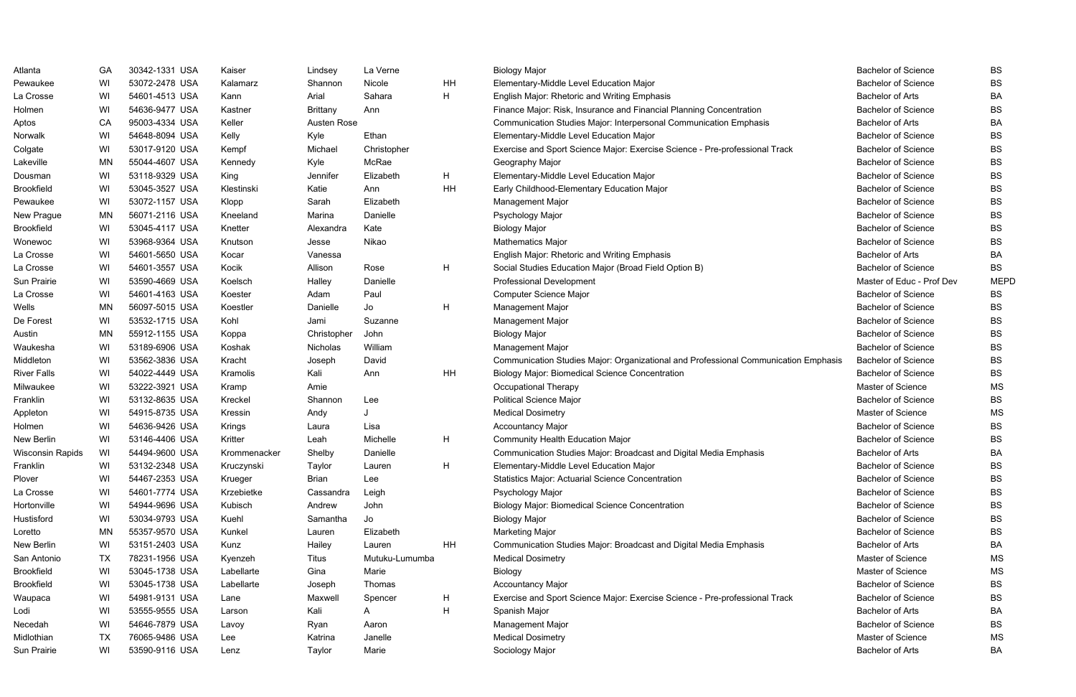| Atlanta                 | GА        | 30342-1331 USA | Kaiser       | Lindsey         | La Verne       |    | <b>Biology Major</b>                                                                | <b>Bachelor of Science</b> | BS          |
|-------------------------|-----------|----------------|--------------|-----------------|----------------|----|-------------------------------------------------------------------------------------|----------------------------|-------------|
| Pewaukee                | WI        | 53072-2478 USA | Kalamarz     | Shannon         | Nicole         | HH | Elementary-Middle Level Education Major                                             | <b>Bachelor of Science</b> | <b>BS</b>   |
| La Crosse               | WI        | 54601-4513 USA | Kann         | Arial           | Sahara         | H  | <b>English Major: Rhetoric and Writing Emphasis</b>                                 | <b>Bachelor of Arts</b>    | <b>BA</b>   |
| Holmen                  | WI        | 54636-9477 USA | Kastner      | <b>Brittany</b> | Ann            |    | Finance Major: Risk, Insurance and Financial Planning Concentration                 | <b>Bachelor of Science</b> | <b>BS</b>   |
| Aptos                   | CA        | 95003-4334 USA | Keller       | Austen Rose     |                |    | Communication Studies Major: Interpersonal Communication Emphasis                   | <b>Bachelor of Arts</b>    | BA          |
| Norwalk                 | WI        | 54648-8094 USA | Kelly        | Kyle            | Ethan          |    | Elementary-Middle Level Education Major                                             | <b>Bachelor of Science</b> | <b>BS</b>   |
| Colgate                 | WI        | 53017-9120 USA | Kempf        | Michael         | Christopher    |    | Exercise and Sport Science Major: Exercise Science - Pre-professional Track         | <b>Bachelor of Science</b> | <b>BS</b>   |
| Lakeville               | MN        | 55044-4607 USA | Kennedy      | Kyle            | McRae          |    | Geography Major                                                                     | <b>Bachelor of Science</b> | <b>BS</b>   |
| Dousman                 | WI        | 53118-9329 USA | King         | Jennifer        | Elizabeth      | H  | Elementary-Middle Level Education Major                                             | <b>Bachelor of Science</b> | <b>BS</b>   |
| <b>Brookfield</b>       | WI        | 53045-3527 USA | Klestinski   | Katie           | Ann            | HH | Early Childhood-Elementary Education Major                                          | <b>Bachelor of Science</b> | <b>BS</b>   |
| Pewaukee                | WI        | 53072-1157 USA | Klopp        | Sarah           | Elizabeth      |    | Management Major                                                                    | <b>Bachelor of Science</b> | <b>BS</b>   |
| New Prague              | MN        | 56071-2116 USA | Kneeland     | Marina          | Danielle       |    | Psychology Major                                                                    | <b>Bachelor of Science</b> | <b>BS</b>   |
| <b>Brookfield</b>       | WI        | 53045-4117 USA | Knetter      | Alexandra       | Kate           |    | <b>Biology Major</b>                                                                | <b>Bachelor of Science</b> | <b>BS</b>   |
| Wonewoc                 | WI        | 53968-9364 USA | Knutson      | Jesse           | Nikao          |    | <b>Mathematics Major</b>                                                            | <b>Bachelor of Science</b> | <b>BS</b>   |
| La Crosse               | WI        | 54601-5650 USA | Kocar        | Vanessa         |                |    | English Major: Rhetoric and Writing Emphasis                                        | <b>Bachelor of Arts</b>    | <b>BA</b>   |
| La Crosse               | WI        | 54601-3557 USA | Kocik        | Allison         | Rose           | H  | Social Studies Education Major (Broad Field Option B)                               | <b>Bachelor of Science</b> | <b>BS</b>   |
| Sun Prairie             | WI        | 53590-4669 USA | Koelsch      | Halley          | Danielle       |    | <b>Professional Development</b>                                                     | Master of Educ - Prof Dev  | <b>MEPD</b> |
| La Crosse               | WI        | 54601-4163 USA | Koester      | Adam            | Paul           |    | Computer Science Major                                                              | <b>Bachelor of Science</b> | BS          |
| Wells                   | <b>MN</b> | 56097-5015 USA | Koestler     | Danielle        | Jo             | H  | <b>Management Major</b>                                                             | <b>Bachelor of Science</b> | <b>BS</b>   |
| De Forest               | WI        | 53532-1715 USA | Kohl         | Jami            | Suzanne        |    | Management Major                                                                    | <b>Bachelor of Science</b> | <b>BS</b>   |
| Austin                  | MN        | 55912-1155 USA | Koppa        | Christopher     | John           |    | <b>Biology Major</b>                                                                | <b>Bachelor of Science</b> | <b>BS</b>   |
| Waukesha                | WI        | 53189-6906 USA | Koshak       | Nicholas        | William        |    | <b>Management Major</b>                                                             | <b>Bachelor of Science</b> | <b>BS</b>   |
| Middleton               | WI        | 53562-3836 USA | Kracht       | Joseph          | David          |    | Communication Studies Major: Organizational and Professional Communication Emphasis | <b>Bachelor of Science</b> | <b>BS</b>   |
| <b>River Falls</b>      | WI        | 54022-4449 USA | Kramolis     | Kali            | Ann            | HH | <b>Biology Major: Biomedical Science Concentration</b>                              | <b>Bachelor of Science</b> | <b>BS</b>   |
| Milwaukee               | WI        | 53222-3921 USA | Kramp        | Amie            |                |    | Occupational Therapy                                                                | Master of Science          | MS          |
| Franklin                | WI        | 53132-8635 USA | Kreckel      | Shannon         | Lee            |    | <b>Political Science Major</b>                                                      | <b>Bachelor of Science</b> | <b>BS</b>   |
| Appleton                | WI        | 54915-8735 USA | Kressin      | Andy            |                |    | <b>Medical Dosimetry</b>                                                            | Master of Science          | <b>MS</b>   |
| Holmen                  | WI        | 54636-9426 USA | Krings       | Laura           | Lisa           |    | <b>Accountancy Major</b>                                                            | <b>Bachelor of Science</b> | <b>BS</b>   |
| New Berlin              | WI        | 53146-4406 USA | Kritter      | Leah            | Michelle       | H  | <b>Community Health Education Major</b>                                             | <b>Bachelor of Science</b> | <b>BS</b>   |
| <b>Wisconsin Rapids</b> | WI        | 54494-9600 USA | Krommenacker | Shelby          | Danielle       |    | Communication Studies Major: Broadcast and Digital Media Emphasis                   | <b>Bachelor of Arts</b>    | <b>BA</b>   |
| Franklin                | WI        | 53132-2348 USA | Kruczynski   | Taylor          | Lauren         | H  | Elementary-Middle Level Education Major                                             | <b>Bachelor of Science</b> | <b>BS</b>   |
| Plover                  | WI        | 54467-2353 USA | Krueger      | <b>Brian</b>    | Lee            |    | <b>Statistics Major: Actuarial Science Concentration</b>                            | <b>Bachelor of Science</b> | <b>BS</b>   |
| La Crosse               | WI        | 54601-7774 USA | Krzebietke   | Cassandra       | Leigh          |    | Psychology Major                                                                    | <b>Bachelor of Science</b> | <b>BS</b>   |
| Hortonville             | WI        | 54944-9696 USA | Kubisch      | Andrew          | John           |    | <b>Biology Major: Biomedical Science Concentration</b>                              | <b>Bachelor of Science</b> | <b>BS</b>   |
| Hustisford              | WI        | 53034-9793 USA | Kuehl        | Samantha        | Jo             |    | <b>Biology Major</b>                                                                | <b>Bachelor of Science</b> | <b>BS</b>   |
| Loretto                 | MN        | 55357-9570 USA | Kunkel       | Lauren          | Elizabeth      |    | <b>Marketing Major</b>                                                              | <b>Bachelor of Science</b> | <b>BS</b>   |
| New Berlin              | WI        | 53151-2403 USA | Kunz         | Hailey          | Lauren         | HH | Communication Studies Major: Broadcast and Digital Media Emphasis                   | <b>Bachelor of Arts</b>    | BA          |
| San Antonio             | TX        | 78231-1956 USA | Kyenzeh      | Titus           | Mutuku-Lumumba |    | <b>Medical Dosimetry</b>                                                            | Master of Science          | MS          |
| Brookfield              | WI        | 53045-1738 USA | Labellarte   | Gina            | Marie          |    | Biology                                                                             | Master of Science          | MS          |
| Brookfield              | WI        | 53045-1738 USA | Labellarte   | Joseph          | Thomas         |    | <b>Accountancy Major</b>                                                            | <b>Bachelor of Science</b> | <b>BS</b>   |
| Waupaca                 | WI        | 54981-9131 USA | Lane         | Maxwell         | Spencer        | H  | Exercise and Sport Science Major: Exercise Science - Pre-professional Track         | <b>Bachelor of Science</b> | <b>BS</b>   |
| Lodi                    | WI        | 53555-9555 USA | Larson       | Kali            | A              | H  | Spanish Major                                                                       | <b>Bachelor of Arts</b>    | BA          |
| Necedah                 | WI        | 54646-7879 USA | Lavoy        | Ryan            | Aaron          |    | <b>Management Major</b>                                                             | <b>Bachelor of Science</b> | <b>BS</b>   |
| Midlothian              | TX        | 76065-9486 USA | Lee          | Katrina         | Janelle        |    | <b>Medical Dosimetry</b>                                                            | Master of Science          | MS          |
| Sun Prairie             | WI        | 53590-9116 USA | Lenz         | Taylor          | Marie          |    | Sociology Major                                                                     | Bachelor of Arts           | BA          |

|        | <b>Bachelor of Science</b> | BS        |
|--------|----------------------------|-----------|
|        | <b>Bachelor of Science</b> | BS        |
|        | <b>Bachelor of Arts</b>    | BA        |
|        | <b>Bachelor of Science</b> | BS        |
|        | Bachelor of Arts           | BA        |
|        | <b>Bachelor of Science</b> | BS        |
|        | <b>Bachelor of Science</b> | BS        |
|        | <b>Bachelor of Science</b> | BS        |
|        | <b>Bachelor of Science</b> | BS        |
|        | <b>Bachelor of Science</b> | BS        |
|        | <b>Bachelor of Science</b> | BS        |
|        | <b>Bachelor of Science</b> | BS        |
|        | <b>Bachelor of Science</b> | BS        |
|        | <b>Bachelor of Science</b> | BS        |
|        | <b>Bachelor of Arts</b>    | BA        |
|        | <b>Bachelor of Science</b> | BS        |
|        | Master of Educ - Prof Dev  | MEPD      |
|        | <b>Bachelor of Science</b> | BS        |
|        | <b>Bachelor of Science</b> | <b>BS</b> |
|        | <b>Bachelor of Science</b> | BS        |
|        | <b>Bachelor of Science</b> | <b>BS</b> |
|        | <b>Bachelor of Science</b> | BS        |
| ohasis | <b>Bachelor of Science</b> | BS        |
|        | <b>Bachelor of Science</b> | BS        |
|        | <b>Master of Science</b>   | ΜS        |
|        | <b>Bachelor of Science</b> | BS        |
|        | <b>Master of Science</b>   | ΜS        |
|        | <b>Bachelor of Science</b> | BS        |
|        | <b>Bachelor of Science</b> | BS        |
|        | <b>Bachelor of Arts</b>    | BA        |
|        | <b>Bachelor of Science</b> | BS        |
|        | <b>Bachelor of Science</b> | BS        |
|        | <b>Bachelor of Science</b> | BS        |
|        | <b>Bachelor of Science</b> | BS        |
|        | Bachelor of Science        | BS        |
|        | <b>Bachelor of Science</b> | BS        |
|        | <b>Bachelor of Arts</b>    | BА        |
|        | <b>Master of Science</b>   | ΜS        |
|        | Master of Science          | MS        |
|        | <b>Bachelor of Science</b> | BS        |
|        | <b>Bachelor of Science</b> | BS        |
|        | Bachelor of Arts           | BА        |
|        | <b>Bachelor of Science</b> | BS        |
|        | Master of Science          | ΜS        |
|        | <b>Bachelor of Arts</b>    | BA        |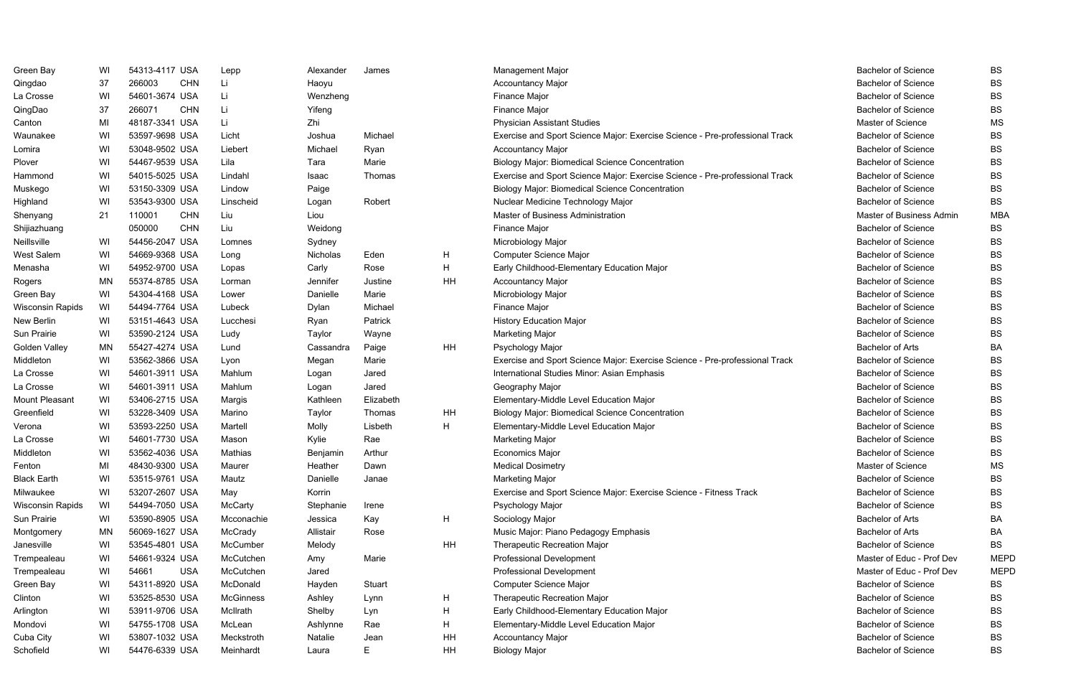| Green Bay               | WI        | 54313-4117 USA       | Lepp             | Alexander       | James     |    | Management Major                                                            | <b>Bachelor of Science</b> | BS          |
|-------------------------|-----------|----------------------|------------------|-----------------|-----------|----|-----------------------------------------------------------------------------|----------------------------|-------------|
| Qingdao                 | 37        | <b>CHN</b><br>266003 | Li.              | Haoyu           |           |    | <b>Accountancy Major</b>                                                    | <b>Bachelor of Science</b> | <b>BS</b>   |
| La Crosse               | WI        | 54601-3674 USA       | Li.              | Wenzheng        |           |    | Finance Major                                                               | <b>Bachelor of Science</b> | <b>BS</b>   |
| QingDao                 | 37        | 266071<br><b>CHN</b> | Li.              | Yifeng          |           |    | Finance Major                                                               | <b>Bachelor of Science</b> | <b>BS</b>   |
| Canton                  | MI        | 48187-3341 USA       | Li.              | Zhi             |           |    | <b>Physician Assistant Studies</b>                                          | Master of Science          | <b>MS</b>   |
| Waunakee                | WI        | 53597-9698 USA       | Licht            | Joshua          | Michael   |    | Exercise and Sport Science Major: Exercise Science - Pre-professional Track | <b>Bachelor of Science</b> | <b>BS</b>   |
| Lomira                  | WI        | 53048-9502 USA       | Liebert          | Michael         | Ryan      |    | <b>Accountancy Major</b>                                                    | <b>Bachelor of Science</b> | <b>BS</b>   |
| Plover                  | WI        | 54467-9539 USA       | Lila             | Tara            | Marie     |    | <b>Biology Major: Biomedical Science Concentration</b>                      | <b>Bachelor of Science</b> | <b>BS</b>   |
| Hammond                 | WI        | 54015-5025 USA       | Lindahl          | Isaac           | Thomas    |    | Exercise and Sport Science Major: Exercise Science - Pre-professional Track | <b>Bachelor of Science</b> | <b>BS</b>   |
| Muskego                 | WI        | 53150-3309 USA       | Lindow           | Paige           |           |    | <b>Biology Major: Biomedical Science Concentration</b>                      | <b>Bachelor of Science</b> | <b>BS</b>   |
| Highland                | WI        | 53543-9300 USA       | Linscheid        | Logan           | Robert    |    | Nuclear Medicine Technology Major                                           | <b>Bachelor of Science</b> | <b>BS</b>   |
| Shenyang                | 21        | <b>CHN</b><br>110001 | Liu              | Liou            |           |    | Master of Business Administration                                           | Master of Business Admin   | <b>MBA</b>  |
| Shijiazhuang            |           | 050000<br><b>CHN</b> | Liu              | Weidong         |           |    | Finance Major                                                               | <b>Bachelor of Science</b> | <b>BS</b>   |
| Neillsville             | WI        | 54456-2047 USA       | Lomnes           | Sydney          |           |    | Microbiology Major                                                          | <b>Bachelor of Science</b> | <b>BS</b>   |
| West Salem              | WI        | 54669-9368 USA       | Long             | Nicholas        | Eden      | H  | Computer Science Major                                                      | <b>Bachelor of Science</b> | <b>BS</b>   |
| Menasha                 | WI        | 54952-9700 USA       | Lopas            | Carly           | Rose      | H  | Early Childhood-Elementary Education Major                                  | <b>Bachelor of Science</b> | <b>BS</b>   |
| Rogers                  | MN        | 55374-8785 USA       | Lorman           | Jennifer        | Justine   | HH | <b>Accountancy Major</b>                                                    | <b>Bachelor of Science</b> | <b>BS</b>   |
| Green Bay               | WI        | 54304-4168 USA       | Lower            | Danielle        | Marie     |    | Microbiology Major                                                          | <b>Bachelor of Science</b> | <b>BS</b>   |
| Wisconsin Rapids        | WI        | 54494-7764 USA       | Lubeck           | Dylan           | Michael   |    | Finance Major                                                               | <b>Bachelor of Science</b> | <b>BS</b>   |
| New Berlin              | WI        | 53151-4643 USA       | Lucchesi         | Ryan            | Patrick   |    | <b>History Education Major</b>                                              | <b>Bachelor of Science</b> | <b>BS</b>   |
| Sun Prairie             | WI        | 53590-2124 USA       | Ludy             | Taylor          | Wayne     |    | <b>Marketing Major</b>                                                      | <b>Bachelor of Science</b> | <b>BS</b>   |
| Golden Valley           | <b>MN</b> | 55427-4274 USA       | Lund             | Cassandra       | Paige     | HH | Psychology Major                                                            | <b>Bachelor of Arts</b>    | <b>BA</b>   |
| Middleton               | WI        | 53562-3866 USA       | Lyon             | Megan           | Marie     |    | Exercise and Sport Science Major: Exercise Science - Pre-professional Track | <b>Bachelor of Science</b> | <b>BS</b>   |
| La Crosse               | WI        | 54601-3911 USA       | Mahlum           | Logan           | Jared     |    | International Studies Minor: Asian Emphasis                                 | <b>Bachelor of Science</b> | <b>BS</b>   |
| La Crosse               | WI        | 54601-3911 USA       | Mahlum           | Logan           | Jared     |    | Geography Major                                                             | <b>Bachelor of Science</b> | BS          |
| Mount Pleasant          | WI        | 53406-2715 USA       | Margis           | Kathleen        | Elizabeth |    | Elementary-Middle Level Education Major                                     | <b>Bachelor of Science</b> | <b>BS</b>   |
| Greenfield              | WI        | 53228-3409 USA       | Marino           | Taylor          | Thomas    | HH | <b>Biology Major: Biomedical Science Concentration</b>                      | <b>Bachelor of Science</b> | <b>BS</b>   |
| Verona                  | WI        | 53593-2250 USA       | Martell          | Molly           | Lisbeth   | H  | Elementary-Middle Level Education Major                                     | <b>Bachelor of Science</b> | <b>BS</b>   |
| La Crosse               | WI        | 54601-7730 USA       | Mason            | Kylie           | Rae       |    | <b>Marketing Major</b>                                                      | <b>Bachelor of Science</b> | <b>BS</b>   |
| Middleton               | WI        | 53562-4036 USA       | Mathias          | <b>Benjamin</b> | Arthur    |    | <b>Economics Major</b>                                                      | <b>Bachelor of Science</b> | <b>BS</b>   |
| Fenton                  | MI        | 48430-9300 USA       | Maurer           | Heather         | Dawn      |    | <b>Medical Dosimetry</b>                                                    | Master of Science          | МS          |
| <b>Black Earth</b>      | WI        | 53515-9761 USA       | Mautz            | Danielle        | Janae     |    | <b>Marketing Major</b>                                                      | <b>Bachelor of Science</b> | <b>BS</b>   |
| Milwaukee               | WI        | 53207-2607 USA       | May              | Korrin          |           |    | Exercise and Sport Science Major: Exercise Science - Fitness Track          | <b>Bachelor of Science</b> | <b>BS</b>   |
| <b>Wisconsin Rapids</b> | WI        | 54494-7050 USA       | McCarty          | Stephanie       | Irene     |    | Psychology Major                                                            | <b>Bachelor of Science</b> | <b>BS</b>   |
| Sun Prairie             | WI        | 53590-8905 USA       | Mcconachie       | Jessica         | Kay       | H  | Sociology Major                                                             | <b>Bachelor of Arts</b>    | BA          |
| Montgomery              | MN        | 56069-1627 USA       | McCrady          | Allistair       | Rose      |    | Music Major: Piano Pedagogy Emphasis                                        | <b>Bachelor of Arts</b>    | BA          |
| Janesville              | WI        | 53545-4801 USA       | McCumber         | Melody          |           | HH | <b>Therapeutic Recreation Major</b>                                         | <b>Bachelor of Science</b> | <b>BS</b>   |
| Trempealeau             | WI        | 54661-9324 USA       | McCutchen        | Amy             | Marie     |    | <b>Professional Development</b>                                             | Master of Educ - Prof Dev  | <b>MEPD</b> |
| Trempealeau             | WI        | 54661<br><b>USA</b>  | McCutchen        | Jared           |           |    | <b>Professional Development</b>                                             | Master of Educ - Prof Dev  | <b>MEPD</b> |
| Green Bay               | WI        | 54311-8920 USA       | McDonald         | Hayden          | Stuart    |    | Computer Science Major                                                      | <b>Bachelor of Science</b> | BS          |
| Clinton                 | WI        | 53525-8530 USA       | <b>McGinness</b> | Ashley          | Lynn      | H  | Therapeutic Recreation Major                                                | <b>Bachelor of Science</b> | BS          |
| Arlington               | WI        | 53911-9706 USA       | McIlrath         | Shelby          | Lyn       | H  | Early Childhood-Elementary Education Major                                  | <b>Bachelor of Science</b> | BS          |
| Mondovi                 | WI        | 54755-1708 USA       | McLean           | Ashlynne        | Rae       | H  | Elementary-Middle Level Education Major                                     | <b>Bachelor of Science</b> | <b>BS</b>   |
| Cuba City               | WI        | 53807-1032 USA       | Meckstroth       | Natalie         | Jean      | HH | <b>Accountancy Major</b>                                                    | <b>Bachelor of Science</b> | <b>BS</b>   |
| Schofield               | WI        | 54476-6339 USA       | Meinhardt        | Laura           | E.        | HH | <b>Biology Major</b>                                                        | <b>Bachelor of Science</b> | <b>BS</b>   |

| <b>Bachelor of Science</b> | BS        |
|----------------------------|-----------|
| <b>Bachelor of Science</b> | BS        |
| <b>Bachelor of Science</b> | BS        |
| <b>Bachelor of Science</b> | BS        |
| <b>Master of Science</b>   | ΜS        |
| <b>Bachelor of Science</b> | BS        |
| <b>Bachelor of Science</b> | BS        |
| <b>Bachelor of Science</b> | BS        |
| <b>Bachelor of Science</b> | BS        |
| <b>Bachelor of Science</b> | BS        |
| <b>Bachelor of Science</b> | BS        |
| Master of Business Admin   | MBA       |
| <b>Bachelor of Science</b> | BS        |
| <b>Bachelor of Science</b> | BS        |
| <b>Bachelor of Science</b> | BS        |
| <b>Bachelor of Science</b> | BS        |
| <b>Bachelor of Science</b> | BS        |
| <b>Bachelor of Science</b> | BS        |
| <b>Bachelor of Science</b> | BS        |
| <b>Bachelor of Science</b> | BS        |
| <b>Bachelor of Science</b> | BS        |
| <b>Bachelor of Arts</b>    | BA        |
| <b>Bachelor of Science</b> | BS        |
| <b>Bachelor of Science</b> | BS        |
| <b>Bachelor of Science</b> | BS        |
| <b>Bachelor of Science</b> | BS        |
| <b>Bachelor of Science</b> | BS        |
| <b>Bachelor of Science</b> | BS        |
| <b>Bachelor of Science</b> | BS        |
| <b>Bachelor of Science</b> | BS        |
| Master of Science          | ΜS        |
| Bachelor of Science        | BS        |
| <b>Bachelor of Science</b> | <b>BS</b> |
| <b>Bachelor of Science</b> | BS        |
| Bachelor of Arts           | BA        |
| <b>Bachelor of Arts</b>    | BA        |
| <b>Bachelor of Science</b> | BS        |
| Master of Educ - Prof Dev  | MEPD      |
| Master of Educ - Prof Dev  | MEPD      |
| <b>Bachelor of Science</b> | BS        |
| <b>Bachelor of Science</b> | BS        |
| <b>Bachelor of Science</b> | BS        |
| <b>Bachelor of Science</b> | BS        |
| <b>Bachelor of Science</b> | BS        |
| <b>Bachelor of Science</b> | BS        |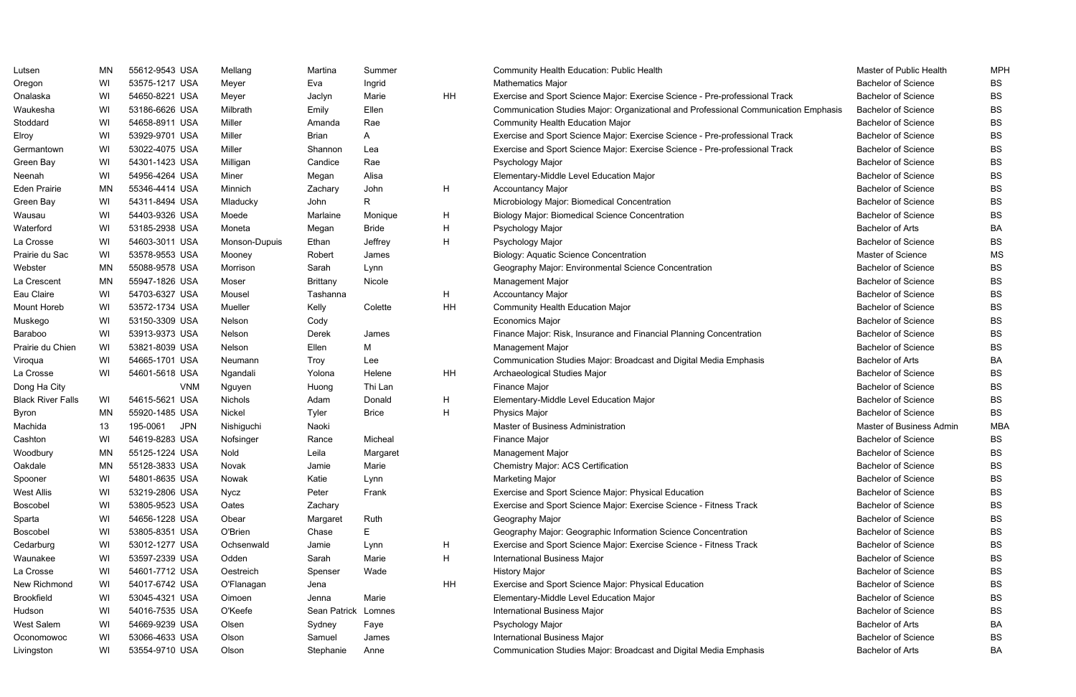| Lutsen                   | MN | 55612-9543 USA         | Mellang       | Martina         | Summer       |    | <b>Community Health Education: Public Health</b>                                    | Master of Public Health    | <b>MPH</b> |
|--------------------------|----|------------------------|---------------|-----------------|--------------|----|-------------------------------------------------------------------------------------|----------------------------|------------|
| Oregon                   | WI | 53575-1217 USA         | Meyer         | Eva             | Ingrid       |    | <b>Mathematics Major</b>                                                            | <b>Bachelor of Science</b> | <b>BS</b>  |
| Onalaska                 | WI | 54650-8221 USA         | Meyer         | Jaclyn          | Marie        | HH | Exercise and Sport Science Major: Exercise Science - Pre-professional Track         | <b>Bachelor of Science</b> | <b>BS</b>  |
| Waukesha                 | WI | 53186-6626 USA         | Milbrath      | Emily           | Ellen        |    | Communication Studies Major: Organizational and Professional Communication Emphasis | <b>Bachelor of Science</b> | <b>BS</b>  |
| Stoddard                 | WI | 54658-8911 USA         | Miller        | Amanda          | Rae          |    | <b>Community Health Education Major</b>                                             | <b>Bachelor of Science</b> | <b>BS</b>  |
| Elroy                    | WI | 53929-9701 USA         | Miller        | <b>Brian</b>    | A            |    | Exercise and Sport Science Major: Exercise Science - Pre-professional Track         | <b>Bachelor of Science</b> | <b>BS</b>  |
| Germantown               | WI | 53022-4075 USA         | Miller        | Shannon         | Lea          |    | Exercise and Sport Science Major: Exercise Science - Pre-professional Track         | <b>Bachelor of Science</b> | <b>BS</b>  |
| Green Bay                | WI | 54301-1423 USA         | Milligan      | Candice         | Rae          |    | Psychology Major                                                                    | <b>Bachelor of Science</b> | <b>BS</b>  |
| Neenah                   | WI | 54956-4264 USA         | Miner         | Megan           | Alisa        |    | Elementary-Middle Level Education Major                                             | <b>Bachelor of Science</b> | <b>BS</b>  |
| Eden Prairie             | MN | 55346-4414 USA         | Minnich       | Zachary         | John         | H  | <b>Accountancy Major</b>                                                            | <b>Bachelor of Science</b> | BS         |
| Green Bay                | WI | 54311-8494 USA         | Mladucky      | John            | R            |    | Microbiology Major: Biomedical Concentration                                        | <b>Bachelor of Science</b> | <b>BS</b>  |
| Wausau                   | WI | 54403-9326 USA         | Moede         | Marlaine        | Monique      | H  | <b>Biology Major: Biomedical Science Concentration</b>                              | <b>Bachelor of Science</b> | <b>BS</b>  |
| Waterford                | WI | 53185-2938 USA         | Moneta        | Megan           | <b>Bride</b> | H  | Psychology Major                                                                    | <b>Bachelor of Arts</b>    | <b>BA</b>  |
| La Crosse                | WI | 54603-3011 USA         | Monson-Dupuis | Ethan           | Jeffrey      | H  | Psychology Major                                                                    | <b>Bachelor of Science</b> | <b>BS</b>  |
| Prairie du Sac           | WI | 53578-9553 USA         | Mooney        | Robert          | James        |    | <b>Biology: Aquatic Science Concentration</b>                                       | Master of Science          | <b>MS</b>  |
| Webster                  | MN | 55088-9578 USA         | Morrison      | Sarah           | Lynn         |    | Geography Major: Environmental Science Concentration                                | <b>Bachelor of Science</b> | <b>BS</b>  |
| La Crescent              | MN | 55947-1826 USA         | Moser         | <b>Brittany</b> | Nicole       |    | Management Major                                                                    | <b>Bachelor of Science</b> | <b>BS</b>  |
| Eau Claire               | WI | 54703-6327 USA         | Mousel        | Tashanna        |              | H  | <b>Accountancy Major</b>                                                            | <b>Bachelor of Science</b> | <b>BS</b>  |
| Mount Horeb              | WI | 53572-1734 USA         | Mueller       | Kelly           | Colette      | HH | <b>Community Health Education Major</b>                                             | <b>Bachelor of Science</b> | <b>BS</b>  |
| Muskego                  | WI | 53150-3309 USA         | Nelson        | Cody            |              |    | <b>Economics Major</b>                                                              | <b>Bachelor of Science</b> | <b>BS</b>  |
| Baraboo                  | WI | 53913-9373 USA         | Nelson        | Derek           | James        |    | Finance Major: Risk, Insurance and Financial Planning Concentration                 | <b>Bachelor of Science</b> | BS         |
| Prairie du Chien         | WI | 53821-8039 USA         | Nelson        | Ellen           | M            |    | <b>Management Major</b>                                                             | <b>Bachelor of Science</b> | <b>BS</b>  |
| Viroqua                  | WI | 54665-1701 USA         | Neumann       | <b>Troy</b>     | Lee          |    | Communication Studies Major: Broadcast and Digital Media Emphasis                   | <b>Bachelor of Arts</b>    | <b>BA</b>  |
| La Crosse                | WI | 54601-5618 USA         | Ngandali      | Yolona          | Helene       | HH | Archaeological Studies Major                                                        | <b>Bachelor of Science</b> | <b>BS</b>  |
| Dong Ha City             |    | <b>VNM</b>             | Nguyen        | Huong           | Thi Lan      |    | Finance Major                                                                       | <b>Bachelor of Science</b> | <b>BS</b>  |
| <b>Black River Falls</b> | WI | 54615-5621 USA         | Nichols       | Adam            | Donald       | H  | Elementary-Middle Level Education Major                                             | <b>Bachelor of Science</b> | <b>BS</b>  |
| Byron                    | ΜN | 55920-1485 USA         | Nickel        | Tyler           | <b>Brice</b> | H  | Physics Major                                                                       | <b>Bachelor of Science</b> | <b>BS</b>  |
| Machida                  | 13 | <b>JPN</b><br>195-0061 | Nishiguchi    | Naoki           |              |    | Master of Business Administration                                                   | Master of Business Admin   | <b>MBA</b> |
| Cashton                  | WI | 54619-8283 USA         | Nofsinger     | Rance           | Micheal      |    | Finance Major                                                                       | <b>Bachelor of Science</b> | <b>BS</b>  |
| Woodbury                 | MN | 55125-1224 USA         | Nold          | Leila           | Margaret     |    | Management Major                                                                    | <b>Bachelor of Science</b> | BS         |
| Oakdale                  | ΜN | 55128-3833 USA         | Novak         | Jamie           | Marie        |    | <b>Chemistry Major: ACS Certification</b>                                           | <b>Bachelor of Science</b> | <b>BS</b>  |
| Spooner                  | WI | 54801-8635 USA         | Nowak         | Katie           | Lynn         |    | Marketing Major                                                                     | <b>Bachelor of Science</b> | <b>BS</b>  |
| West Allis               | WI | 53219-2806 USA         | Nycz          | Peter           | Frank        |    | Exercise and Sport Science Major: Physical Education                                | <b>Bachelor of Science</b> | <b>BS</b>  |
| Boscobel                 | WI | 53805-9523 USA         | Oates         | Zachary         |              |    | Exercise and Sport Science Major: Exercise Science - Fitness Track                  | <b>Bachelor of Science</b> | <b>BS</b>  |
| Sparta                   | WI | 54656-1228 USA         | Obear         | Margaret        | Ruth         |    | Geography Major                                                                     | <b>Bachelor of Science</b> | <b>BS</b>  |
| Boscobel                 | WI | 53805-8351 USA         | O'Brien       | Chase           | Е            |    | Geography Major: Geographic Information Science Concentration                       | <b>Bachelor of Science</b> | <b>BS</b>  |
| Cedarburg                | WI | 53012-1277 USA         | Ochsenwald    | Jamie           | Lynn         | H  | Exercise and Sport Science Major: Exercise Science - Fitness Track                  | <b>Bachelor of Science</b> | <b>BS</b>  |
| Waunakee                 | WI | 53597-2339 USA         | Odden         | Sarah           | Marie        | H  | <b>International Business Major</b>                                                 | <b>Bachelor of Science</b> | <b>BS</b>  |
| La Crosse                | WI | 54601-7712 USA         | Oestreich     | Spenser         | Wade         |    | <b>History Major</b>                                                                | <b>Bachelor of Science</b> | <b>BS</b>  |
| New Richmond             | WI | 54017-6742 USA         | O'Flanagan    | Jena            |              | HH | Exercise and Sport Science Major: Physical Education                                | <b>Bachelor of Science</b> | <b>BS</b>  |
| <b>Brookfield</b>        | WI | 53045-4321 USA         | Oimoen        | Jenna           | Marie        |    | Elementary-Middle Level Education Major                                             | <b>Bachelor of Science</b> | <b>BS</b>  |
| Hudson                   | WI | 54016-7535 USA         | O'Keefe       | Sean Patrick    | Lomnes       |    | International Business Major                                                        | <b>Bachelor of Science</b> | <b>BS</b>  |
| West Salem               | WI | 54669-9239 USA         | Olsen         | Sydney          | Faye         |    | Psychology Major                                                                    | <b>Bachelor of Arts</b>    | BA         |
| Oconomowoc               | WI | 53066-4633 USA         | Olson         | Samuel          | James        |    | <b>International Business Major</b>                                                 | <b>Bachelor of Science</b> | <b>BS</b>  |
| Livingston               | WI | 53554-9710 USA         | Olson         | Stephanie       | Anne         |    | Communication Studies Major: Broadcast and Digital Media Emphasis                   | <b>Bachelor of Arts</b>    | BA         |

|        | Master of Public Health    | MPH       |
|--------|----------------------------|-----------|
|        | <b>Bachelor of Science</b> | BS        |
|        | <b>Bachelor of Science</b> | BS        |
| phasis | <b>Bachelor of Science</b> | BS        |
|        | <b>Bachelor of Science</b> | BS        |
|        | <b>Bachelor of Science</b> | BS        |
|        | <b>Bachelor of Science</b> | BS        |
|        | <b>Bachelor of Science</b> | BS        |
|        | <b>Bachelor of Science</b> | BS        |
|        | <b>Bachelor of Science</b> | BS        |
|        | <b>Bachelor of Science</b> | BS        |
|        | <b>Bachelor of Science</b> | BS        |
|        | <b>Bachelor of Arts</b>    | BA        |
|        | <b>Bachelor of Science</b> | BS        |
|        | <b>Master of Science</b>   | ΜS        |
|        | <b>Bachelor of Science</b> | BS        |
|        | <b>Bachelor of Science</b> | BS        |
|        | <b>Bachelor of Science</b> | BS        |
|        | <b>Bachelor of Science</b> | BS        |
|        | <b>Bachelor of Science</b> | BS        |
|        | <b>Bachelor of Science</b> | BS        |
|        | <b>Bachelor of Science</b> | BS        |
|        | <b>Bachelor of Arts</b>    | BA        |
|        | <b>Bachelor of Science</b> | BS        |
|        | <b>Bachelor of Science</b> | BS        |
|        | <b>Bachelor of Science</b> | BS        |
|        | <b>Bachelor of Science</b> | BS        |
|        | Master of Business Admin   | MBA       |
|        | <b>Bachelor of Science</b> | BS        |
|        | <b>Bachelor of Science</b> | <b>BS</b> |
|        | <b>Bachelor of Science</b> | BS        |
|        | <b>Bachelor of Science</b> | <b>BS</b> |
|        | <b>Bachelor of Science</b> | BS        |
|        | <b>Bachelor of Science</b> | <b>BS</b> |
|        | <b>Bachelor of Science</b> | BS        |
|        | <b>Bachelor of Science</b> | BS        |
|        | <b>Bachelor of Science</b> | BS        |
|        | <b>Bachelor of Science</b> | BS        |
|        | <b>Bachelor of Science</b> | BS        |
|        | <b>Bachelor of Science</b> | BS        |
|        | <b>Bachelor of Science</b> | BS        |
|        | <b>Bachelor of Science</b> | <b>BS</b> |
|        | <b>Bachelor of Arts</b>    | BA        |
|        | <b>Bachelor of Science</b> | BS        |
|        | <b>Bachelor of Arts</b>    | BA        |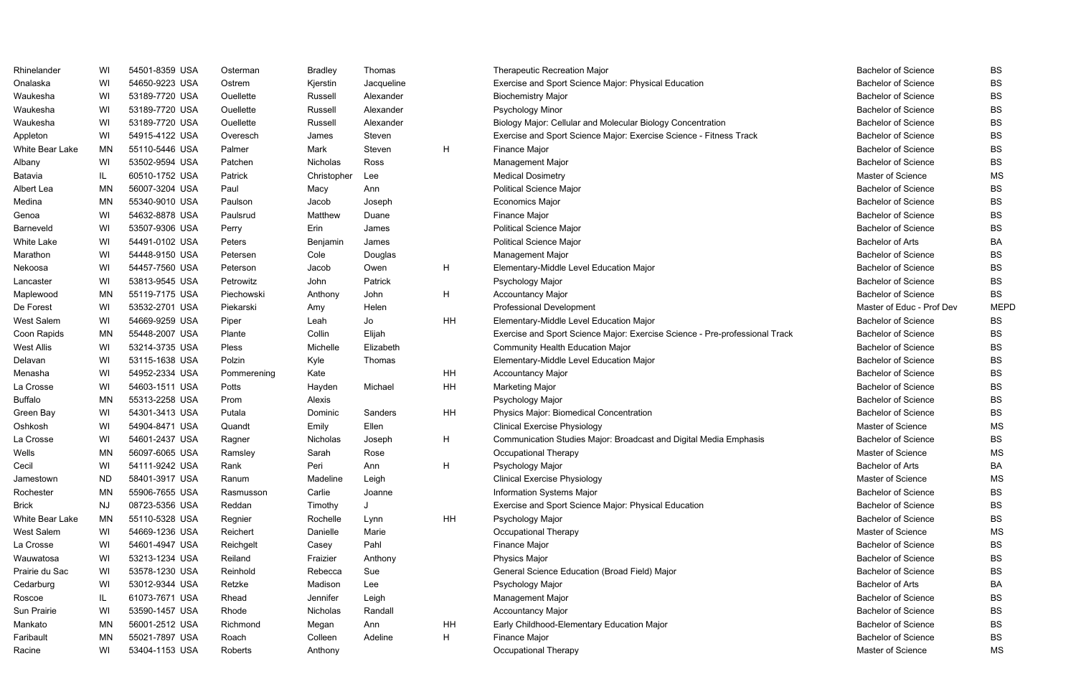| Rhinelander       | WI        | 54501-8359 USA | Osterman    | <b>Bradley</b> | Thomas     |    | <b>Therapeutic Recreation Major</b>                                         | <b>Bachelor of Science</b> | BS          |
|-------------------|-----------|----------------|-------------|----------------|------------|----|-----------------------------------------------------------------------------|----------------------------|-------------|
| Onalaska          | WI        | 54650-9223 USA | Ostrem      | Kjerstin       | Jacqueline |    | Exercise and Sport Science Major: Physical Education                        | <b>Bachelor of Science</b> | <b>BS</b>   |
| Waukesha          | WI        | 53189-7720 USA | Ouellette   | Russell        | Alexander  |    | <b>Biochemistry Major</b>                                                   | <b>Bachelor of Science</b> | <b>BS</b>   |
| Waukesha          | WI        | 53189-7720 USA | Ouellette   | Russell        | Alexander  |    | Psychology Minor                                                            | <b>Bachelor of Science</b> | <b>BS</b>   |
| Waukesha          | WI        | 53189-7720 USA | Ouellette   | Russell        | Alexander  |    | Biology Major: Cellular and Molecular Biology Concentration                 | <b>Bachelor of Science</b> | <b>BS</b>   |
| Appleton          | WI        | 54915-4122 USA | Overesch    | James          | Steven     |    | Exercise and Sport Science Major: Exercise Science - Fitness Track          | <b>Bachelor of Science</b> | <b>BS</b>   |
| White Bear Lake   | MN        | 55110-5446 USA | Palmer      | Mark           | Steven     | H  | Finance Major                                                               | <b>Bachelor of Science</b> | <b>BS</b>   |
| Albany            | WI        | 53502-9594 USA | Patchen     | Nicholas       | Ross       |    | Management Major                                                            | <b>Bachelor of Science</b> | <b>BS</b>   |
| Batavia           | IL        | 60510-1752 USA | Patrick     | Christopher    | Lee        |    | <b>Medical Dosimetry</b>                                                    | Master of Science          | <b>MS</b>   |
| Albert Lea        | <b>MN</b> | 56007-3204 USA | Paul        | Macy           | Ann        |    | <b>Political Science Major</b>                                              | <b>Bachelor of Science</b> | <b>BS</b>   |
| Medina            | MN        | 55340-9010 USA | Paulson     | Jacob          | Joseph     |    | <b>Economics Major</b>                                                      | <b>Bachelor of Science</b> | <b>BS</b>   |
| Genoa             | WI        | 54632-8878 USA | Paulsrud    | Matthew        | Duane      |    | Finance Major                                                               | <b>Bachelor of Science</b> | <b>BS</b>   |
| Barneveld         | WI        | 53507-9306 USA | Perry       | Erin           | James      |    | <b>Political Science Major</b>                                              | <b>Bachelor of Science</b> | <b>BS</b>   |
| White Lake        | WI        | 54491-0102 USA | Peters      | Benjamin       | James      |    | <b>Political Science Major</b>                                              | Bachelor of Arts           | <b>BA</b>   |
| Marathon          | WI        | 54448-9150 USA | Petersen    | Cole           | Douglas    |    | <b>Management Major</b>                                                     | <b>Bachelor of Science</b> | <b>BS</b>   |
| Nekoosa           | WI        | 54457-7560 USA | Peterson    | Jacob          | Owen       | H  | Elementary-Middle Level Education Major                                     | <b>Bachelor of Science</b> | <b>BS</b>   |
| Lancaster         | WI        | 53813-9545 USA | Petrowitz   | John           | Patrick    |    | Psychology Major                                                            | <b>Bachelor of Science</b> | <b>BS</b>   |
| Maplewood         | MN        | 55119-7175 USA | Piechowski  | Anthony        | John       | H  | <b>Accountancy Major</b>                                                    | <b>Bachelor of Science</b> | <b>BS</b>   |
| De Forest         | WI        | 53532-2701 USA | Piekarski   | Amy            | Helen      |    | <b>Professional Development</b>                                             | Master of Educ - Prof Dev  | <b>MEPD</b> |
| West Salem        | WI        | 54669-9259 USA | Piper       | Leah           | Jo         | HH | Elementary-Middle Level Education Major                                     | <b>Bachelor of Science</b> | <b>BS</b>   |
| Coon Rapids       | MN        | 55448-2007 USA | Plante      | Collin         | Elijah     |    | Exercise and Sport Science Major: Exercise Science - Pre-professional Track | <b>Bachelor of Science</b> | <b>BS</b>   |
| <b>West Allis</b> | WI        | 53214-3735 USA | Pless       | Michelle       | Elizabeth  |    | <b>Community Health Education Major</b>                                     | <b>Bachelor of Science</b> | <b>BS</b>   |
| Delavan           | WI        | 53115-1638 USA | Polzin      | Kyle           | Thomas     |    | Elementary-Middle Level Education Major                                     | <b>Bachelor of Science</b> | <b>BS</b>   |
| Menasha           | WI        | 54952-2334 USA | Pommerening | Kate           |            | HH | <b>Accountancy Major</b>                                                    | <b>Bachelor of Science</b> | <b>BS</b>   |
| La Crosse         | WI        | 54603-1511 USA | Potts       | Hayden         | Michael    | HH | <b>Marketing Major</b>                                                      | <b>Bachelor of Science</b> | <b>BS</b>   |
| <b>Buffalo</b>    | <b>MN</b> | 55313-2258 USA | Prom        | Alexis         |            |    | Psychology Major                                                            | <b>Bachelor of Science</b> | <b>BS</b>   |
| Green Bay         | WI        | 54301-3413 USA | Putala      | Dominic        | Sanders    | HH | Physics Major: Biomedical Concentration                                     | <b>Bachelor of Science</b> | <b>BS</b>   |
| Oshkosh           | WI        | 54904-8471 USA | Quandt      | Emily          | Ellen      |    | <b>Clinical Exercise Physiology</b>                                         | Master of Science          | MS          |
| La Crosse         | WI        | 54601-2437 USA | Ragner      | Nicholas       | Joseph     | H  | Communication Studies Major: Broadcast and Digital Media Emphasis           | <b>Bachelor of Science</b> | <b>BS</b>   |
| Wells             | MN        | 56097-6065 USA | Ramsley     | Sarah          | Rose       |    | Occupational Therapy                                                        | Master of Science          | <b>MS</b>   |
| Cecil             | WI        | 54111-9242 USA | Rank        | Peri           | Ann        | H  | Psychology Major                                                            | <b>Bachelor of Arts</b>    | BA          |
| Jamestown         | <b>ND</b> | 58401-3917 USA | Ranum       | Madeline       | Leigh      |    | <b>Clinical Exercise Physiology</b>                                         | Master of Science          | МS          |
| Rochester         | ΜN        | 55906-7655 USA | Rasmusson   | Carlie         | Joanne     |    | Information Systems Major                                                   | <b>Bachelor of Science</b> | <b>BS</b>   |
| <b>Brick</b>      | <b>NJ</b> | 08723-5356 USA | Reddan      | Timothy        |            |    | Exercise and Sport Science Major: Physical Education                        | <b>Bachelor of Science</b> | <b>BS</b>   |
| White Bear Lake   | MN        | 55110-5328 USA | Regnier     | Rochelle       | Lynn       | HH | Psychology Major                                                            | <b>Bachelor of Science</b> | <b>BS</b>   |
| West Salem        | WI        | 54669-1236 USA | Reichert    | Danielle       | Marie      |    | Occupational Therapy                                                        | Master of Science          | MS          |
| La Crosse         | WI        | 54601-4947 USA | Reichgelt   | Casey          | Pahl       |    | Finance Major                                                               | <b>Bachelor of Science</b> | <b>BS</b>   |
| Wauwatosa         | WI        | 53213-1234 USA | Reiland     | Fraizier       | Anthony    |    | <b>Physics Major</b>                                                        | <b>Bachelor of Science</b> | <b>BS</b>   |
| Prairie du Sac    | WI        | 53578-1230 USA | Reinhold    | Rebecca        | Sue        |    | General Science Education (Broad Field) Major                               | <b>Bachelor of Science</b> | <b>BS</b>   |
| Cedarburg         | WI        | 53012-9344 USA | Retzke      | Madison        | Lee        |    | Psychology Major                                                            | <b>Bachelor of Arts</b>    | BA          |
| Roscoe            | IL        | 61073-7671 USA | Rhead       | Jennifer       | Leigh      |    | Management Major                                                            | <b>Bachelor of Science</b> | <b>BS</b>   |
| Sun Prairie       | WI        | 53590-1457 USA | Rhode       | Nicholas       | Randall    |    | <b>Accountancy Major</b>                                                    | <b>Bachelor of Science</b> | <b>BS</b>   |
| Mankato           | ΜN        | 56001-2512 USA | Richmond    | Megan          | Ann        | HH | Early Childhood-Elementary Education Major                                  | <b>Bachelor of Science</b> | <b>BS</b>   |
| Faribault         | MN        | 55021-7897 USA | Roach       | Colleen        | Adeline    | H  | Finance Major                                                               | <b>Bachelor of Science</b> | <b>BS</b>   |
| Racine            | WI        | 53404-1153 USA | Roberts     | Anthony        |            |    | Occupational Therapy                                                        | Master of Science          | MS          |

| <b>Bachelor of Science</b> | BS          |
|----------------------------|-------------|
| <b>Bachelor of Science</b> | BS          |
| <b>Bachelor of Science</b> | BS          |
| <b>Bachelor of Science</b> | BS          |
| <b>Bachelor of Science</b> | BS          |
| <b>Bachelor of Science</b> | BS          |
| <b>Bachelor of Science</b> | BS          |
| <b>Bachelor of Science</b> | BS          |
| Master of Science          | ΜS          |
| <b>Bachelor of Science</b> | BS          |
| <b>Bachelor of Science</b> | BS          |
| <b>Bachelor of Science</b> | BS          |
| <b>Bachelor of Science</b> | BS          |
| <b>Bachelor of Arts</b>    | BA          |
| <b>Bachelor of Science</b> | <b>BS</b>   |
| <b>Bachelor of Science</b> | BS          |
| <b>Bachelor of Science</b> | BS          |
| <b>Bachelor of Science</b> | BS          |
| Master of Educ - Prof Dev  | <b>MEPD</b> |
| <b>Bachelor of Science</b> | BS          |
| <b>Bachelor of Science</b> | BS          |
| <b>Bachelor of Science</b> | BS          |
| <b>Bachelor of Science</b> | BS          |
| <b>Bachelor of Science</b> | BS          |
| <b>Bachelor of Science</b> | BS          |
| <b>Bachelor of Science</b> | BS          |
| <b>Bachelor of Science</b> | BS          |
| Master of Science          | ΜS          |
| <b>Bachelor of Science</b> | BS          |
| <b>Master of Science</b>   | ΜS          |
| <b>Bachelor of Arts</b>    | ВA          |
| Master of Science          | ΜS          |
| <b>Bachelor of Science</b> | BS          |
| <b>Bachelor of Science</b> | BS          |
| Bachelor of Science        | BS          |
| <b>Master of Science</b>   | ΜS          |
| <b>Bachelor of Science</b> | BS          |
| <b>Bachelor of Science</b> | BS          |
| Bachelor of Science        | BS          |
| <b>Bachelor of Arts</b>    | ВA          |
| <b>Bachelor of Science</b> | BS          |
| <b>Bachelor of Science</b> | BS          |
| Bachelor of Science        | BS          |
| <b>Bachelor of Science</b> | BS          |
| Master of Science          | ΜS          |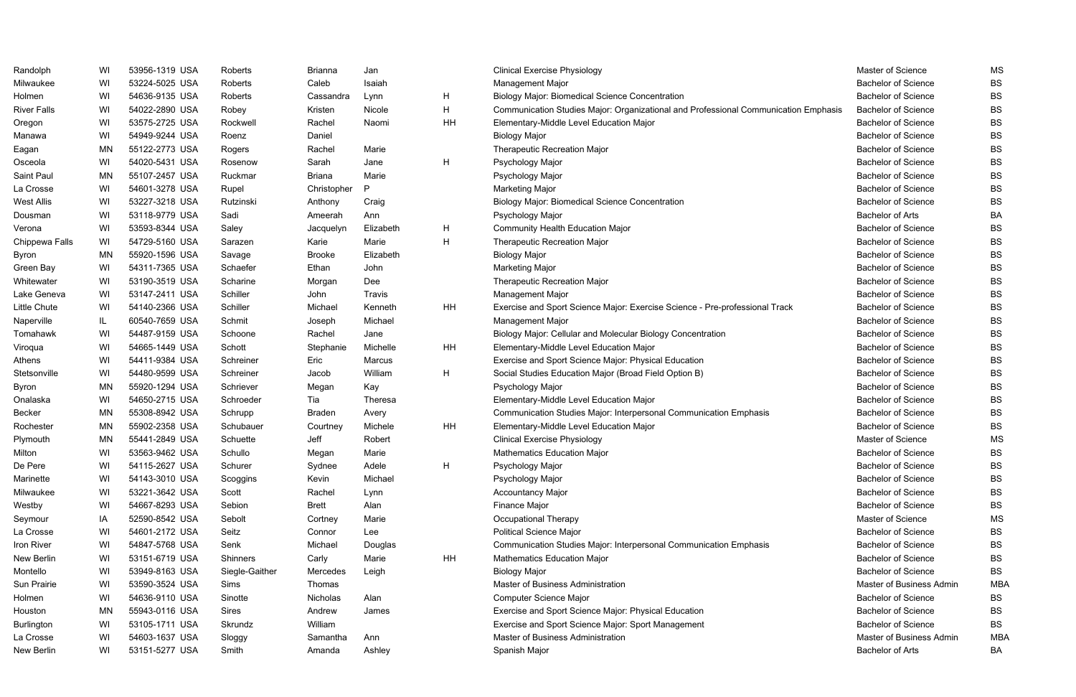| Randolph           | WI        | 53956-1319 USA | Roberts        | <b>Brianna</b> | Jan           |    | <b>Clinical Exercise Physiology</b>                                                 | Master of Science          | MS         |
|--------------------|-----------|----------------|----------------|----------------|---------------|----|-------------------------------------------------------------------------------------|----------------------------|------------|
| Milwaukee          | WI        | 53224-5025 USA | Roberts        | Caleb          | Isaiah        |    | Management Major                                                                    | <b>Bachelor of Science</b> | <b>BS</b>  |
| Holmen             | WI        | 54636-9135 USA | Roberts        | Cassandra      | Lynn          | H  | <b>Biology Major: Biomedical Science Concentration</b>                              | <b>Bachelor of Science</b> | <b>BS</b>  |
| <b>River Falls</b> | WI        | 54022-2890 USA | Robey          | Kristen        | Nicole        | H  | Communication Studies Major: Organizational and Professional Communication Emphasis | <b>Bachelor of Science</b> | <b>BS</b>  |
| Oregon             | WI        | 53575-2725 USA | Rockwell       | Rachel         | Naomi         | HH | Elementary-Middle Level Education Major                                             | <b>Bachelor of Science</b> | <b>BS</b>  |
| Manawa             | WI        | 54949-9244 USA | Roenz          | Daniel         |               |    | <b>Biology Major</b>                                                                | <b>Bachelor of Science</b> | <b>BS</b>  |
| Eagan              | <b>MN</b> | 55122-2773 USA | Rogers         | Rachel         | Marie         |    | <b>Therapeutic Recreation Major</b>                                                 | <b>Bachelor of Science</b> | <b>BS</b>  |
| Osceola            | WI        | 54020-5431 USA | Rosenow        | Sarah          | Jane          | H  | Psychology Major                                                                    | <b>Bachelor of Science</b> | <b>BS</b>  |
| Saint Paul         | MN        | 55107-2457 USA | Ruckmar        | <b>Briana</b>  | Marie         |    | Psychology Major                                                                    | <b>Bachelor of Science</b> | <b>BS</b>  |
| La Crosse          | WI        | 54601-3278 USA | Rupel          | Christopher    | P             |    | <b>Marketing Major</b>                                                              | <b>Bachelor of Science</b> | <b>BS</b>  |
| <b>West Allis</b>  | WI        | 53227-3218 USA | Rutzinski      | Anthony        | Craig         |    | <b>Biology Major: Biomedical Science Concentration</b>                              | <b>Bachelor of Science</b> | <b>BS</b>  |
| Dousman            | WI        | 53118-9779 USA | Sadi           | Ameerah        | Ann           |    | Psychology Major                                                                    | <b>Bachelor of Arts</b>    | <b>BA</b>  |
| Verona             | WI        | 53593-8344 USA | Saley          | Jacquelyn      | Elizabeth     | H  | Community Health Education Major                                                    | <b>Bachelor of Science</b> | <b>BS</b>  |
| Chippewa Falls     | WI        | 54729-5160 USA | Sarazen        | Karie          | Marie         | H  | <b>Therapeutic Recreation Major</b>                                                 | <b>Bachelor of Science</b> | <b>BS</b>  |
| Byron              | MN        | 55920-1596 USA | Savage         | <b>Brooke</b>  | Elizabeth     |    | <b>Biology Major</b>                                                                | <b>Bachelor of Science</b> | <b>BS</b>  |
| Green Bay          | WI        | 54311-7365 USA | Schaefer       | Ethan          | John          |    | <b>Marketing Major</b>                                                              | <b>Bachelor of Science</b> | <b>BS</b>  |
| Whitewater         | WI        | 53190-3519 USA | Scharine       | Morgan         | Dee           |    | <b>Therapeutic Recreation Major</b>                                                 | <b>Bachelor of Science</b> | <b>BS</b>  |
| Lake Geneva        | WI        | 53147-2411 USA | Schiller       | John           | <b>Travis</b> |    | Management Major                                                                    | <b>Bachelor of Science</b> | <b>BS</b>  |
| Little Chute       | WI        | 54140-2366 USA | Schiller       | Michael        | Kenneth       | HH | Exercise and Sport Science Major: Exercise Science - Pre-professional Track         | <b>Bachelor of Science</b> | <b>BS</b>  |
| Naperville         | IL        | 60540-7659 USA | Schmit         | Joseph         | Michael       |    | <b>Management Major</b>                                                             | <b>Bachelor of Science</b> | <b>BS</b>  |
| Tomahawk           | WI        | 54487-9159 USA | Schoone        | Rachel         | Jane          |    | Biology Major: Cellular and Molecular Biology Concentration                         | <b>Bachelor of Science</b> | <b>BS</b>  |
| Viroqua            | WI        | 54665-1449 USA | Schott         | Stephanie      | Michelle      | HH | Elementary-Middle Level Education Major                                             | <b>Bachelor of Science</b> | <b>BS</b>  |
| Athens             | WI        | 54411-9384 USA | Schreiner      | Eric           | Marcus        |    | Exercise and Sport Science Major: Physical Education                                | <b>Bachelor of Science</b> | <b>BS</b>  |
| Stetsonville       | WI        | 54480-9599 USA | Schreiner      | Jacob          | William       | H  | Social Studies Education Major (Broad Field Option B)                               | <b>Bachelor of Science</b> | <b>BS</b>  |
| Byron              | <b>MN</b> | 55920-1294 USA | Schriever      | Megan          | Kay           |    | Psychology Major                                                                    | <b>Bachelor of Science</b> | <b>BS</b>  |
| Onalaska           | WI        | 54650-2715 USA | Schroeder      | Tia            | Theresa       |    | Elementary-Middle Level Education Major                                             | <b>Bachelor of Science</b> | <b>BS</b>  |
| <b>Becker</b>      | MN        | 55308-8942 USA | Schrupp        | Braden         | Avery         |    | Communication Studies Major: Interpersonal Communication Emphasis                   | <b>Bachelor of Science</b> | <b>BS</b>  |
| Rochester          | ΜN        | 55902-2358 USA | Schubauer      | Courtney       | Michele       | HH | Elementary-Middle Level Education Major                                             | <b>Bachelor of Science</b> | <b>BS</b>  |
| Plymouth           | <b>MN</b> | 55441-2849 USA | Schuette       | Jeff           | Robert        |    | <b>Clinical Exercise Physiology</b>                                                 | Master of Science          | MS         |
| Milton             | WI        | 53563-9462 USA | Schullo        | Megan          | Marie         |    | <b>Mathematics Education Major</b>                                                  | <b>Bachelor of Science</b> | <b>BS</b>  |
| De Pere            | WI        | 54115-2627 USA | Schurer        | Sydnee         | Adele         | H  | Psychology Major                                                                    | <b>Bachelor of Science</b> | <b>BS</b>  |
| Marinette          | WI        | 54143-3010 USA | Scoggins       | Kevin          | Michael       |    | Psychology Major                                                                    | <b>Bachelor of Science</b> | <b>BS</b>  |
| Milwaukee          | WI        | 53221-3642 USA | Scott          | Rachel         | Lynn          |    | <b>Accountancy Major</b>                                                            | <b>Bachelor of Science</b> | <b>BS</b>  |
| Westby             | WI        | 54667-8293 USA | Sebion         | <b>Brett</b>   | Alan          |    | Finance Major                                                                       | <b>Bachelor of Science</b> | <b>BS</b>  |
| Seymour            | IA        | 52590-8542 USA | Sebolt         | Cortney        | Marie         |    | <b>Occupational Therapy</b>                                                         | Master of Science          | <b>MS</b>  |
| La Crosse          | WI        | 54601-2172 USA | Seitz          | Connor         | Lee           |    | <b>Political Science Major</b>                                                      | <b>Bachelor of Science</b> | <b>BS</b>  |
| Iron River         | WI        | 54847-5768 USA | Senk           | Michael        | Douglas       |    | Communication Studies Major: Interpersonal Communication Emphasis                   | <b>Bachelor of Science</b> | <b>BS</b>  |
| New Berlin         | WI        | 53151-6719 USA | Shinners       | Carly          | Marie         | HH | <b>Mathematics Education Major</b>                                                  | <b>Bachelor of Science</b> | BS         |
| Montello           | WI        | 53949-8163 USA | Siegle-Gaither | Mercedes       | Leigh         |    | <b>Biology Major</b>                                                                | <b>Bachelor of Science</b> | <b>BS</b>  |
| Sun Prairie        | WI        | 53590-3524 USA | Sims           | Thomas         |               |    | Master of Business Administration                                                   | Master of Business Admin   | <b>MBA</b> |
| Holmen             | WI        | 54636-9110 USA | Sinotte        | Nicholas       | Alan          |    | Computer Science Major                                                              | <b>Bachelor of Science</b> | <b>BS</b>  |
| Houston            | ΜN        | 55943-0116 USA | <b>Sires</b>   | Andrew         | James         |    | Exercise and Sport Science Major: Physical Education                                | <b>Bachelor of Science</b> | <b>BS</b>  |
| Burlington         | WI        | 53105-1711 USA | Skrundz        | William        |               |    | Exercise and Sport Science Major: Sport Management                                  | <b>Bachelor of Science</b> | <b>BS</b>  |
| La Crosse          | WI        | 54603-1637 USA | Sloggy         | Samantha       | Ann           |    | Master of Business Administration                                                   | Master of Business Admin   | <b>MBA</b> |
| New Berlin         | WI        | 53151-5277 USA | Smith          | Amanda         | Ashley        |    | Spanish Major                                                                       | <b>Bachelor of Arts</b>    | BA         |

|            | Master of Science          | ΜS         |
|------------|----------------------------|------------|
|            | <b>Bachelor of Science</b> | BS         |
|            | <b>Bachelor of Science</b> | BS         |
| า Emphasis | <b>Bachelor of Science</b> | BS         |
|            | <b>Bachelor of Science</b> | BS         |
|            | <b>Bachelor of Science</b> | BS         |
|            | <b>Bachelor of Science</b> | BS         |
|            | <b>Bachelor of Science</b> | BS         |
|            | <b>Bachelor of Science</b> | BS         |
|            | <b>Bachelor of Science</b> | BS         |
|            | <b>Bachelor of Science</b> | BS         |
|            | Bachelor of Arts           | BA         |
|            | <b>Bachelor of Science</b> | BS         |
|            | <b>Bachelor of Science</b> | BS         |
|            | <b>Bachelor of Science</b> | BS         |
|            | <b>Bachelor of Science</b> | BS         |
|            | <b>Bachelor of Science</b> | BS         |
|            | <b>Bachelor of Science</b> | BS         |
|            | <b>Bachelor of Science</b> | BS         |
|            | <b>Bachelor of Science</b> | BS         |
|            | <b>Bachelor of Science</b> | BS         |
|            | <b>Bachelor of Science</b> | BS         |
|            | <b>Bachelor of Science</b> | BS         |
|            | <b>Bachelor of Science</b> | BS         |
|            | <b>Bachelor of Science</b> | BS         |
|            | <b>Bachelor of Science</b> | BS         |
|            | <b>Bachelor of Science</b> | BS         |
|            | <b>Bachelor of Science</b> | BS         |
|            | <b>Master of Science</b>   | ΜS         |
|            | <b>Bachelor of Science</b> | BS         |
|            | <b>Bachelor of Science</b> | BS         |
|            | <b>Bachelor of Science</b> | BS         |
|            | <b>Bachelor of Science</b> | BS         |
|            | <b>Bachelor of Science</b> | BS         |
|            | Master of Science          | ΜS         |
|            | <b>Bachelor of Science</b> | <b>BS</b>  |
|            | <b>Bachelor of Science</b> | BS         |
|            | Bachelor of Science        | BS         |
|            | <b>Bachelor of Science</b> | BS         |
|            | Master of Business Admin   | <b>MBA</b> |
|            | <b>Bachelor of Science</b> | BS         |
|            | Bachelor of Science        | BS         |
|            | <b>Bachelor of Science</b> | BS         |
|            | Master of Business Admin   | MBA        |
|            | <b>Bachelor of Arts</b>    | BA         |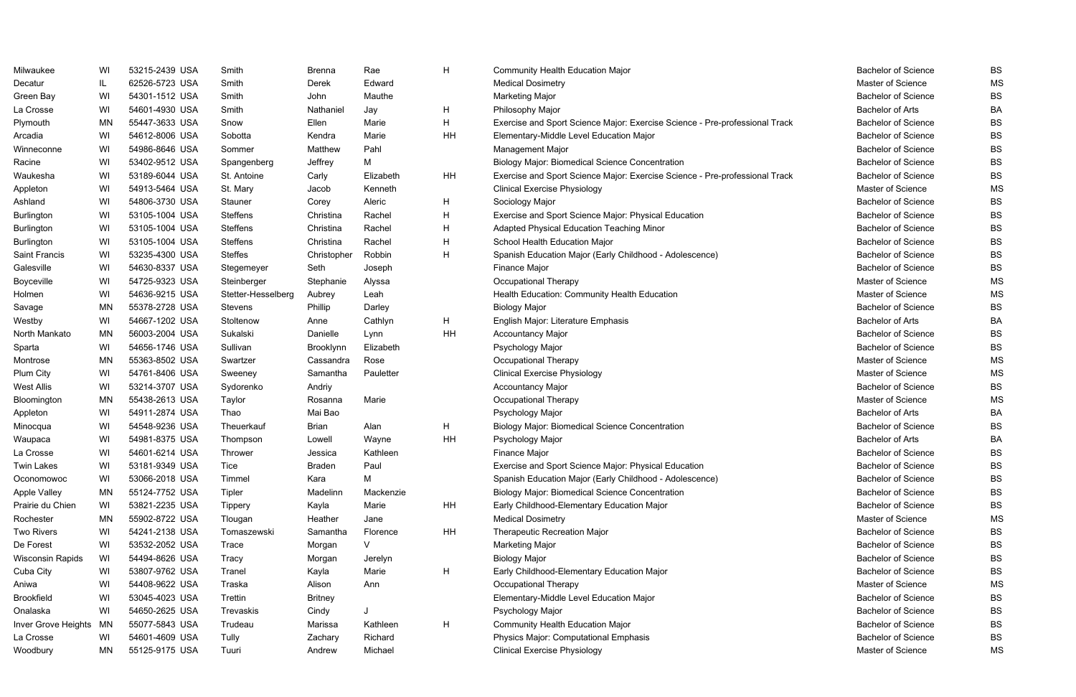| Milwaukee               | WI        | 53215-2439 USA | Smith              | <b>Brenna</b>  | Rae       | H  | <b>Community Health Education Major</b>                                     | <b>Bachelor of Science</b> | <b>BS</b> |
|-------------------------|-----------|----------------|--------------------|----------------|-----------|----|-----------------------------------------------------------------------------|----------------------------|-----------|
| Decatur                 | IL        | 62526-5723 USA | Smith              | Derek          | Edward    |    | <b>Medical Dosimetry</b>                                                    | Master of Science          | <b>MS</b> |
| Green Bay               | WI        | 54301-1512 USA | Smith              | John           | Mauthe    |    | Marketing Major                                                             | <b>Bachelor of Science</b> | <b>BS</b> |
| La Crosse               | WI        | 54601-4930 USA | Smith              | Nathaniel      | Jay       | H  | Philosophy Major                                                            | <b>Bachelor of Arts</b>    | <b>BA</b> |
| Plymouth                | <b>MN</b> | 55447-3633 USA | Snow               | Ellen          | Marie     | H  | Exercise and Sport Science Major: Exercise Science - Pre-professional Track | <b>Bachelor of Science</b> | <b>BS</b> |
| Arcadia                 | WI        | 54612-8006 USA | Sobotta            | Kendra         | Marie     | HH | Elementary-Middle Level Education Major                                     | <b>Bachelor of Science</b> | <b>BS</b> |
| Winneconne              | WI        | 54986-8646 USA | Sommer             | Matthew        | Pahl      |    | Management Major                                                            | <b>Bachelor of Science</b> | <b>BS</b> |
| Racine                  | WI        | 53402-9512 USA | Spangenberg        | Jeffrey        | M         |    | Biology Major: Biomedical Science Concentration                             | <b>Bachelor of Science</b> | <b>BS</b> |
| Waukesha                | WI        | 53189-6044 USA | St. Antoine        | Carly          | Elizabeth | HH | Exercise and Sport Science Major: Exercise Science - Pre-professional Track | <b>Bachelor of Science</b> | <b>BS</b> |
| Appleton                | WI        | 54913-5464 USA | St. Mary           | Jacob          | Kenneth   |    | <b>Clinical Exercise Physiology</b>                                         | Master of Science          | <b>MS</b> |
| Ashland                 | WI        | 54806-3730 USA | Stauner            | Corey          | Aleric    | H  | Sociology Major                                                             | <b>Bachelor of Science</b> | <b>BS</b> |
| Burlington              | WI        | 53105-1004 USA | <b>Steffens</b>    | Christina      | Rachel    | H  | Exercise and Sport Science Major: Physical Education                        | <b>Bachelor of Science</b> | <b>BS</b> |
| Burlington              | WI        | 53105-1004 USA | Steffens           | Christina      | Rachel    | H  | Adapted Physical Education Teaching Minor                                   | <b>Bachelor of Science</b> | <b>BS</b> |
| Burlington              | WI        | 53105-1004 USA | <b>Steffens</b>    | Christina      | Rachel    | H  | School Health Education Major                                               | <b>Bachelor of Science</b> | <b>BS</b> |
| Saint Francis           | WI        | 53235-4300 USA | <b>Steffes</b>     | Christopher    | Robbin    | H  | Spanish Education Major (Early Childhood - Adolescence)                     | <b>Bachelor of Science</b> | <b>BS</b> |
| Galesville              | WI        | 54630-8337 USA | Stegemeyer         | Seth           | Joseph    |    | Finance Major                                                               | <b>Bachelor of Science</b> | <b>BS</b> |
| Boyceville              | WI        | 54725-9323 USA | Steinberger        | Stephanie      | Alyssa    |    | Occupational Therapy                                                        | Master of Science          | <b>MS</b> |
| Holmen                  | WI        | 54636-9215 USA | Stetter-Hesselberg | Aubrey         | Leah      |    | Health Education: Community Health Education                                | Master of Science          | <b>MS</b> |
| Savage                  | <b>MN</b> | 55378-2728 USA | Stevens            | Phillip        | Darley    |    | <b>Biology Major</b>                                                        | <b>Bachelor of Science</b> | <b>BS</b> |
| Westby                  | WI        | 54667-1202 USA | Stoltenow          | Anne           | Cathlyn   | H  | English Major: Literature Emphasis                                          | <b>Bachelor of Arts</b>    | <b>BA</b> |
| North Mankato           | MN        | 56003-2004 USA | Sukalski           | Danielle       | Lynn      | HH | <b>Accountancy Major</b>                                                    | <b>Bachelor of Science</b> | <b>BS</b> |
| Sparta                  | WI        | 54656-1746 USA | Sullivan           | Brooklynn      | Elizabeth |    | Psychology Major                                                            | <b>Bachelor of Science</b> | <b>BS</b> |
| Montrose                | <b>MN</b> | 55363-8502 USA | Swartzer           | Cassandra      | Rose      |    | Occupational Therapy                                                        | Master of Science          | <b>MS</b> |
| Plum City               | WI        | 54761-8406 USA | Sweeney            | Samantha       | Pauletter |    | <b>Clinical Exercise Physiology</b>                                         | Master of Science          | <b>MS</b> |
| <b>West Allis</b>       | WI        | 53214-3707 USA | Sydorenko          | Andriy         |           |    | <b>Accountancy Major</b>                                                    | <b>Bachelor of Science</b> | <b>BS</b> |
| Bloomington             | MN        | 55438-2613 USA | Taylor             | Rosanna        | Marie     |    | Occupational Therapy                                                        | Master of Science          | <b>MS</b> |
| Appleton                | WI        | 54911-2874 USA | Thao               | Mai Bao        |           |    | Psychology Major                                                            | <b>Bachelor of Arts</b>    | <b>BA</b> |
| Minocqua                | WI        | 54548-9236 USA | Theuerkauf         | Brian          | Alan      | H  | <b>Biology Major: Biomedical Science Concentration</b>                      | <b>Bachelor of Science</b> | <b>BS</b> |
| Waupaca                 | WI        | 54981-8375 USA | Thompson           | Lowell         | Wayne     | HH | Psychology Major                                                            | <b>Bachelor of Arts</b>    | <b>BA</b> |
| La Crosse               | WI        | 54601-6214 USA | <b>Thrower</b>     | Jessica        | Kathleen  |    | <b>Finance Major</b>                                                        | <b>Bachelor of Science</b> | <b>BS</b> |
| <b>Twin Lakes</b>       | WI        | 53181-9349 USA | Tice               | <b>Braden</b>  | Paul      |    | Exercise and Sport Science Major: Physical Education                        | <b>Bachelor of Science</b> | <b>BS</b> |
| Oconomowoc              | WI        | 53066-2018 USA | Timmel             | Kara           | M         |    | Spanish Education Major (Early Childhood - Adolescence)                     | <b>Bachelor of Science</b> | <b>BS</b> |
| <b>Apple Valley</b>     | ΜN        | 55124-7752 USA | Tipler             | Madelinn       | Mackenzie |    | Biology Major: Biomedical Science Concentration                             | <b>Bachelor of Science</b> | <b>BS</b> |
| Prairie du Chien        | WI        | 53821-2235 USA | <b>Tippery</b>     | Kayla          | Marie     | HH | Early Childhood-Elementary Education Major                                  | <b>Bachelor of Science</b> | <b>BS</b> |
| Rochester               | ΜN        | 55902-8722 USA | Tlougan            | Heather        | Jane      |    | <b>Medical Dosimetry</b>                                                    | Master of Science          | <b>MS</b> |
| Two Rivers              | WI        | 54241-2138 USA | Tomaszewski        | Samantha       | Florence  | HH | <b>Therapeutic Recreation Major</b>                                         | <b>Bachelor of Science</b> | <b>BS</b> |
| De Forest               | WI        | 53532-2052 USA | Trace              | Morgan         | $\vee$    |    | Marketing Major                                                             | <b>Bachelor of Science</b> | <b>BS</b> |
| <b>Wisconsin Rapids</b> | WI        | 54494-8626 USA | Tracy              | Morgan         | Jerelyn   |    | <b>Biology Major</b>                                                        | <b>Bachelor of Science</b> | <b>BS</b> |
| Cuba City               | WI        | 53807-9762 USA | Tranel             | Kayla          | Marie     | H  | Early Childhood-Elementary Education Major                                  | <b>Bachelor of Science</b> | <b>BS</b> |
| Aniwa                   | WI        | 54408-9622 USA | Traska             | Alison         | Ann       |    | Occupational Therapy                                                        | <b>Master of Science</b>   | <b>MS</b> |
| <b>Brookfield</b>       | WI        | 53045-4023 USA | Trettin            | <b>Britney</b> |           |    | Elementary-Middle Level Education Major                                     | <b>Bachelor of Science</b> | <b>BS</b> |
| Onalaska                | WI        | 54650-2625 USA | Trevaskis          | Cindy          |           |    | Psychology Major                                                            | <b>Bachelor of Science</b> | <b>BS</b> |
| Inver Grove Heights MN  |           | 55077-5843 USA | Trudeau            | Marissa        | Kathleen  | H  | Community Health Education Major                                            | <b>Bachelor of Science</b> | <b>BS</b> |
| La Crosse               | WI        | 54601-4609 USA | Tully              | Zachary        | Richard   |    | <b>Physics Major: Computational Emphasis</b>                                | <b>Bachelor of Science</b> | <b>BS</b> |
| Woodbury                | MN        | 55125-9175 USA | Tuuri              | Andrew         | Michael   |    | <b>Clinical Exercise Physiology</b>                                         | Master of Science          | <b>MS</b> |

| <b>Bachelor of Science</b> | BS        |
|----------------------------|-----------|
| <b>Master of Science</b>   | ΜS        |
| <b>Bachelor of Science</b> | BS        |
| <b>Bachelor of Arts</b>    | ВA        |
| <b>Bachelor of Science</b> | BS        |
| <b>Bachelor of Science</b> | BS        |
| <b>Bachelor of Science</b> | BS        |
| <b>Bachelor of Science</b> | BS        |
| <b>Bachelor of Science</b> | BS        |
| <b>Master of Science</b>   | ΜS        |
| <b>Bachelor of Science</b> | BS        |
| <b>Bachelor of Science</b> | BS        |
| <b>Bachelor of Science</b> | BS        |
| <b>Bachelor of Science</b> | BS        |
| <b>Bachelor of Science</b> | BS        |
| <b>Bachelor of Science</b> | BS        |
| <b>Master of Science</b>   | ΜS        |
| <b>Master of Science</b>   | ΜS        |
| <b>Bachelor of Science</b> | BS        |
| <b>Bachelor of Arts</b>    | BA        |
| <b>Bachelor of Science</b> | BS        |
| <b>Bachelor of Science</b> | BS        |
| <b>Master of Science</b>   | ΜS        |
| <b>Master of Science</b>   | ΜS        |
| <b>Bachelor of Science</b> | BS        |
| <b>Master of Science</b>   | ΜS        |
| <b>Bachelor of Arts</b>    | BA        |
| <b>Bachelor of Science</b> | BS        |
| <b>Bachelor of Arts</b>    | BA        |
| <b>Bachelor of Science</b> | BS        |
| <b>Bachelor of Science</b> | BS        |
| <b>Bachelor of Science</b> | BS        |
| <b>Bachelor of Science</b> | BS        |
| <b>Bachelor of Science</b> | <b>BS</b> |
| <b>Master of Science</b>   | ΜS        |
| <b>Bachelor of Science</b> | BS        |
| <b>Bachelor of Science</b> | BS        |
| <b>Bachelor of Science</b> | BS        |
| <b>Bachelor of Science</b> | BS        |
| Master of Science          | ΜS        |
| <b>Bachelor of Science</b> | BS        |
| <b>Bachelor of Science</b> | BS        |
| <b>Bachelor of Science</b> | BS        |
| <b>Bachelor of Science</b> | BS        |
| Master of Science          | <b>MS</b> |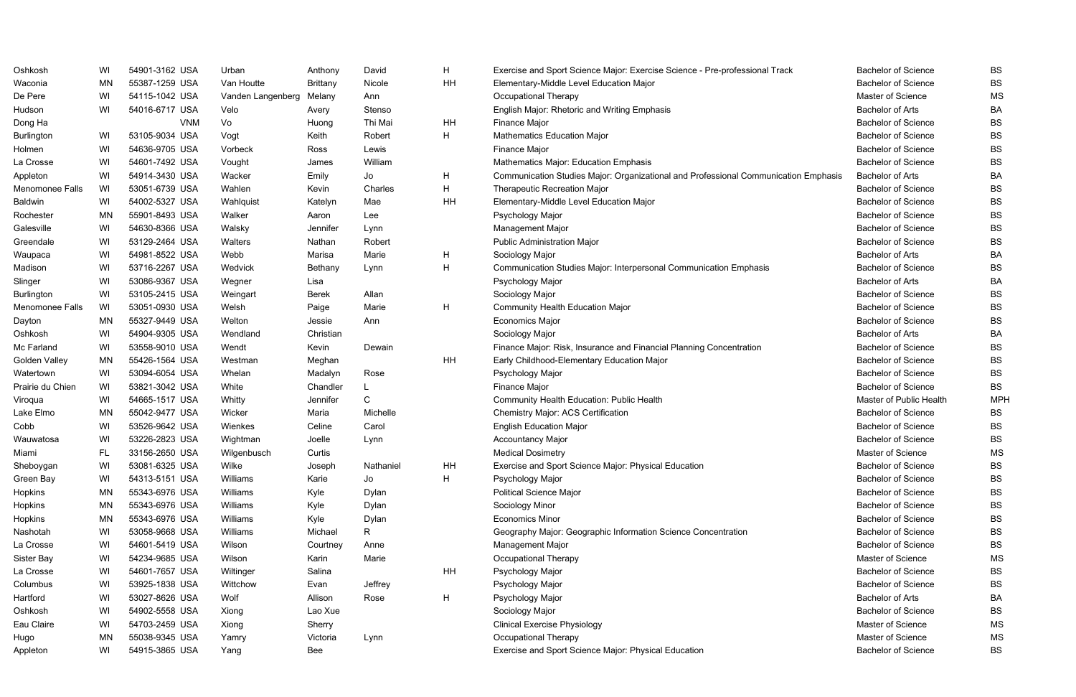| Oshkosh                | WI        | 54901-3162 USA | Urban             | Anthony         | David       | H  | Exercise and Sport Science Major: Exercise Science - Pre-professional Track         | <b>Bachelor of Science</b> | <b>BS</b>  |
|------------------------|-----------|----------------|-------------------|-----------------|-------------|----|-------------------------------------------------------------------------------------|----------------------------|------------|
| Waconia                | <b>MN</b> | 55387-1259 USA | Van Houtte        | <b>Brittany</b> | Nicole      | HH | Elementary-Middle Level Education Major                                             | <b>Bachelor of Science</b> | <b>BS</b>  |
| De Pere                | WI        | 54115-1042 USA | Vanden Langenberg | Melany          | Ann         |    | <b>Occupational Therapy</b>                                                         | Master of Science          | <b>MS</b>  |
| Hudson                 | WI        | 54016-6717 USA | Velo              | Avery           | Stenso      |    | English Major: Rhetoric and Writing Emphasis                                        | <b>Bachelor of Arts</b>    | BA         |
| Dong Ha                |           | <b>VNM</b>     | Vo                | Huong           | Thi Mai     | HH | Finance Major                                                                       | <b>Bachelor of Science</b> | <b>BS</b>  |
| Burlington             | WI        | 53105-9034 USA | Vogt              | Keith           | Robert      | H  | <b>Mathematics Education Major</b>                                                  | <b>Bachelor of Science</b> | <b>BS</b>  |
| Holmen                 | WI        | 54636-9705 USA | Vorbeck           | Ross            | Lewis       |    | Finance Major                                                                       | <b>Bachelor of Science</b> | <b>BS</b>  |
| La Crosse              | WI        | 54601-7492 USA | Vought            | James           | William     |    | Mathematics Major: Education Emphasis                                               | <b>Bachelor of Science</b> | <b>BS</b>  |
| Appleton               | WI        | 54914-3430 USA | Wacker            | Emily           | Jo          | H  | Communication Studies Major: Organizational and Professional Communication Emphasis | <b>Bachelor of Arts</b>    | BA         |
| <b>Menomonee Falls</b> | WI        | 53051-6739 USA | Wahlen            | Kevin           | Charles     | H  | Therapeutic Recreation Major                                                        | <b>Bachelor of Science</b> | <b>BS</b>  |
| <b>Baldwin</b>         | WI        | 54002-5327 USA | Wahlquist         | Katelyn         | Mae         | HH | Elementary-Middle Level Education Major                                             | <b>Bachelor of Science</b> | <b>BS</b>  |
| Rochester              | MN        | 55901-8493 USA | Walker            | Aaron           | Lee         |    | Psychology Major                                                                    | <b>Bachelor of Science</b> | <b>BS</b>  |
| Galesville             | WI        | 54630-8366 USA | Walsky            | Jennifer        | Lynn        |    | <b>Management Major</b>                                                             | <b>Bachelor of Science</b> | <b>BS</b>  |
| Greendale              | WI        | 53129-2464 USA | Walters           | Nathan          | Robert      |    | <b>Public Administration Major</b>                                                  | <b>Bachelor of Science</b> | BS         |
| Waupaca                | WI        | 54981-8522 USA | Webb              | Marisa          | Marie       | H  | Sociology Major                                                                     | <b>Bachelor of Arts</b>    | BA         |
| Madison                | WI        | 53716-2267 USA | Wedvick           | Bethany         | Lynn        | H  | Communication Studies Major: Interpersonal Communication Emphasis                   | <b>Bachelor of Science</b> | <b>BS</b>  |
| Slinger                | WI        | 53086-9367 USA | Wegner            | Lisa            |             |    | Psychology Major                                                                    | <b>Bachelor of Arts</b>    | <b>BA</b>  |
| Burlington             | WI        | 53105-2415 USA | Weingart          | <b>Berek</b>    | Allan       |    | Sociology Major                                                                     | <b>Bachelor of Science</b> | <b>BS</b>  |
| Menomonee Falls        | WI        | 53051-0930 USA | Welsh             | Paige           | Marie       | H  | <b>Community Health Education Major</b>                                             | <b>Bachelor of Science</b> | <b>BS</b>  |
| Dayton                 | ΜN        | 55327-9449 USA | Welton            | Jessie          | Ann         |    | <b>Economics Major</b>                                                              | <b>Bachelor of Science</b> | <b>BS</b>  |
| Oshkosh                | WI        | 54904-9305 USA | Wendland          | Christian       |             |    | Sociology Major                                                                     | <b>Bachelor of Arts</b>    | BA         |
| Mc Farland             | WI        | 53558-9010 USA | Wendt             | Kevin           | Dewain      |    | Finance Major: Risk, Insurance and Financial Planning Concentration                 | <b>Bachelor of Science</b> | <b>BS</b>  |
| Golden Valley          | MN        | 55426-1564 USA | Westman           | Meghan          |             | HH | Early Childhood-Elementary Education Major                                          | <b>Bachelor of Science</b> | <b>BS</b>  |
| Watertown              | WI        | 53094-6054 USA | Whelan            | Madalyn         | Rose        |    | Psychology Major                                                                    | <b>Bachelor of Science</b> | <b>BS</b>  |
| Prairie du Chien       | WI        | 53821-3042 USA | White             | Chandler        |             |    | <b>Finance Major</b>                                                                | <b>Bachelor of Science</b> | <b>BS</b>  |
| Viroqua                | WI        | 54665-1517 USA | Whitty            | Jennifer        | $\mathsf C$ |    | <b>Community Health Education: Public Health</b>                                    | Master of Public Health    | <b>MPH</b> |
| Lake Elmo              | MN        | 55042-9477 USA | Wicker            | Maria           | Michelle    |    | <b>Chemistry Major: ACS Certification</b>                                           | <b>Bachelor of Science</b> | <b>BS</b>  |
| Cobb                   | WI        | 53526-9642 USA | Wienkes           | Celine          | Carol       |    | <b>English Education Major</b>                                                      | <b>Bachelor of Science</b> | <b>BS</b>  |
| Wauwatosa              | WI        | 53226-2823 USA | Wightman          | Joelle          | Lynn        |    | <b>Accountancy Major</b>                                                            | <b>Bachelor of Science</b> | <b>BS</b>  |
| Miami                  | FL.       | 33156-2650 USA | Wilgenbusch       | Curtis          |             |    | <b>Medical Dosimetry</b>                                                            | Master of Science          | <b>MS</b>  |
| Sheboygan              | WI        | 53081-6325 USA | Wilke             | Joseph          | Nathaniel   | HH | Exercise and Sport Science Major: Physical Education                                | <b>Bachelor of Science</b> | <b>BS</b>  |
| Green Bay              | WI        | 54313-5151 USA | Williams          | Karie           | Jo          | H  | Psychology Major                                                                    | <b>Bachelor of Science</b> | <b>BS</b>  |
| Hopkins                | MN        | 55343-6976 USA | Williams          | Kyle            | Dylan       |    | <b>Political Science Major</b>                                                      | <b>Bachelor of Science</b> | <b>BS</b>  |
| Hopkins                | ΜN        | 55343-6976 USA | Williams          | Kyle            | Dylan       |    | Sociology Minor                                                                     | <b>Bachelor of Science</b> | <b>BS</b>  |
| Hopkins                | MN        | 55343-6976 USA | Williams          | Kyle            | Dylan       |    | <b>Economics Minor</b>                                                              | <b>Bachelor of Science</b> | <b>BS</b>  |
| Nashotah               | WI        | 53058-9668 USA | Williams          | Michael         | R           |    | Geography Major: Geographic Information Science Concentration                       | <b>Bachelor of Science</b> | BS         |
| La Crosse              | WI        | 54601-5419 USA | Wilson            | Courtney        | Anne        |    | Management Major                                                                    | <b>Bachelor of Science</b> | <b>BS</b>  |
| Sister Bay             | WI        | 54234-9685 USA | Wilson            | Karin           | Marie       |    | Occupational Therapy                                                                | Master of Science          | <b>MS</b>  |
| La Crosse              | WI        | 54601-7657 USA | Wiltinger         | Salina          |             | HH | Psychology Major                                                                    | <b>Bachelor of Science</b> | <b>BS</b>  |
| Columbus               | WI        | 53925-1838 USA | Wittchow          | Evan            | Jeffrey     |    | Psychology Major                                                                    | <b>Bachelor of Science</b> | BS         |
| Hartford               | WI        | 53027-8626 USA | Wolf              | Allison         | Rose        | H  | Psychology Major                                                                    | <b>Bachelor of Arts</b>    | BA         |
| Oshkosh                | WI        | 54902-5558 USA | Xiong             | Lao Xue         |             |    | Sociology Major                                                                     | <b>Bachelor of Science</b> | <b>BS</b>  |
| Eau Claire             | WI        | 54703-2459 USA | Xiong             | Sherry          |             |    | <b>Clinical Exercise Physiology</b>                                                 | Master of Science          | MS         |
| Hugo                   | MN        | 55038-9345 USA | Yamry             | Victoria        | Lynn        |    | <b>Occupational Therapy</b>                                                         | Master of Science          | <b>MS</b>  |
| Appleton               | WI        | 54915-3865 USA | Yang              | Bee             |             |    | Exercise and Sport Science Major: Physical Education                                | <b>Bachelor of Science</b> | <b>BS</b>  |